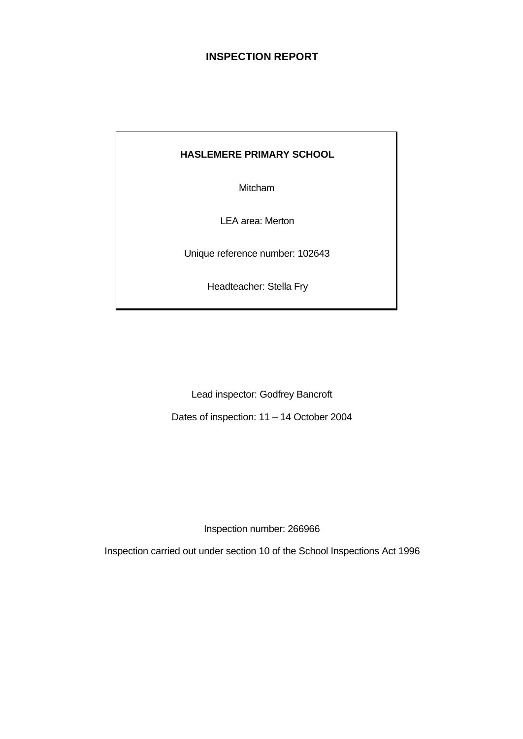# **INSPECTION REPORT**

## **HASLEMERE PRIMARY SCHOOL**

Mitcham

LEA area: Merton

Unique reference number: 102643

Headteacher: Stella Fry

Lead inspector: Godfrey Bancroft

Dates of inspection: 11 – 14 October 2004

Inspection number: 266966

Inspection carried out under section 10 of the School Inspections Act 1996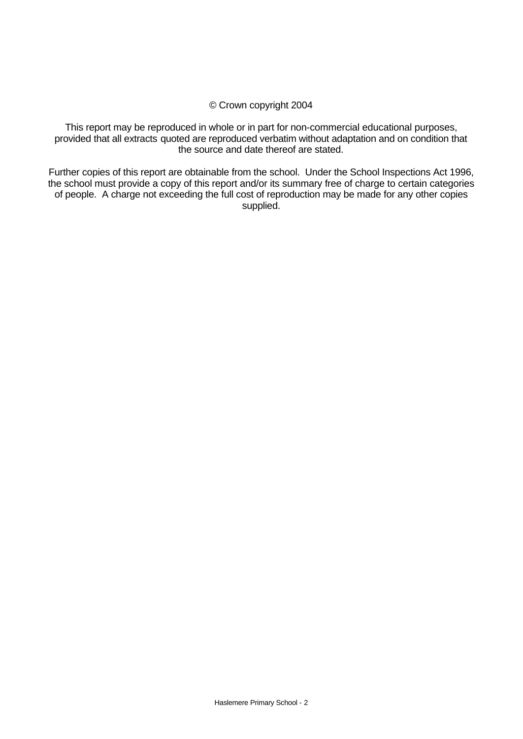#### © Crown copyright 2004

This report may be reproduced in whole or in part for non-commercial educational purposes, provided that all extracts quoted are reproduced verbatim without adaptation and on condition that the source and date thereof are stated.

Further copies of this report are obtainable from the school. Under the School Inspections Act 1996, the school must provide a copy of this report and/or its summary free of charge to certain categories of people. A charge not exceeding the full cost of reproduction may be made for any other copies supplied.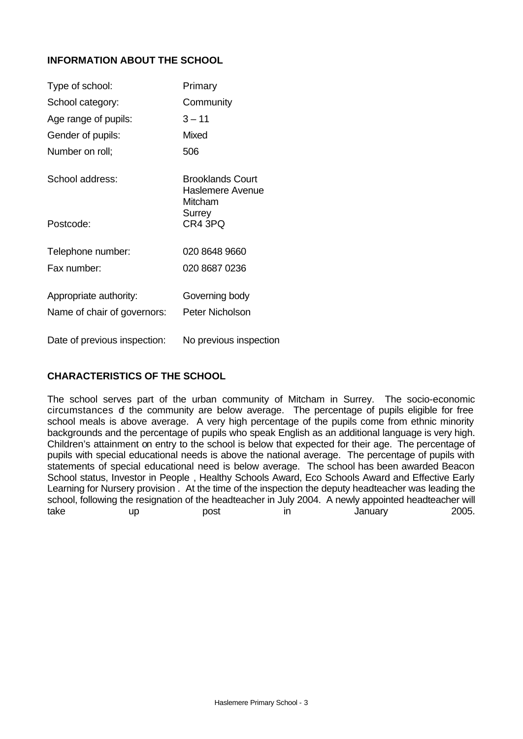## **INFORMATION ABOUT THE SCHOOL**

| Type of school:              | Primary                                                   |
|------------------------------|-----------------------------------------------------------|
| School category:             | Community                                                 |
| Age range of pupils:         | $3 - 11$                                                  |
| Gender of pupils:            | Mixed                                                     |
| Number on roll;              | 506                                                       |
| School address:              | Brooklands Court<br>Haslemere Avenue<br>Mitcham<br>Surrey |
| Postcode:                    | CR4 3PQ                                                   |
| Telephone number:            | 020 8648 9660                                             |
| Fax number:                  | 020 8687 0236                                             |
| Appropriate authority:       | Governing body                                            |
| Name of chair of governors:  | Peter Nicholson                                           |
| Date of previous inspection: | No previous inspection                                    |

## **CHARACTERISTICS OF THE SCHOOL**

The school serves part of the urban community of Mitcham in Surrey. The socio-economic circumstances of the community are below average. The percentage of pupils eligible for free school meals is above average. A very high percentage of the pupils come from ethnic minority backgrounds and the percentage of pupils who speak English as an additional language is very high. Children's attainment on entry to the school is below that expected for their age. The percentage of pupils with special educational needs is above the national average. The percentage of pupils with statements of special educational need is below average. The school has been awarded Beacon School status, Investor in People , Healthy Schools Award, Eco Schools Award and Effective Early Learning for Nursery provision . At the time of the inspection the deputy headteacher was leading the school, following the resignation of the headteacher in July 2004. A newly appointed headteacher will take up post in January 2005.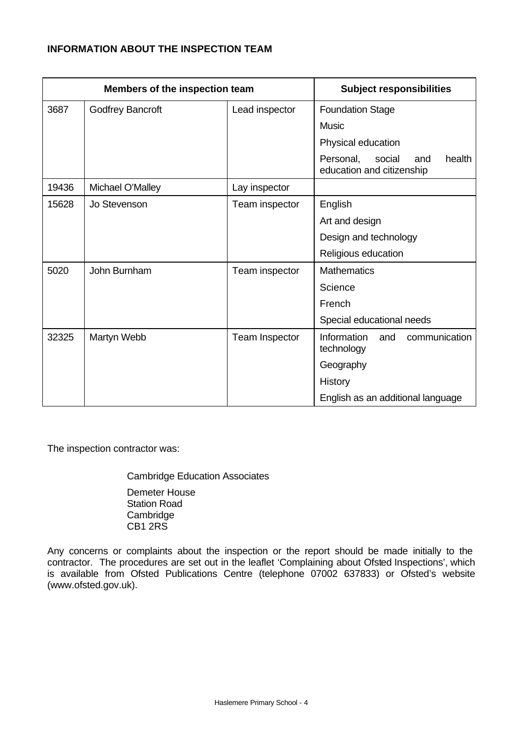## **INFORMATION ABOUT THE INSPECTION TEAM**

| Members of the inspection team |                  |                | <b>Subject responsibilities</b>                                   |  |  |  |
|--------------------------------|------------------|----------------|-------------------------------------------------------------------|--|--|--|
| 3687                           | Godfrey Bancroft | Lead inspector | <b>Foundation Stage</b>                                           |  |  |  |
|                                |                  |                | <b>Music</b>                                                      |  |  |  |
|                                |                  |                | Physical education                                                |  |  |  |
|                                |                  |                | Personal,<br>social<br>health<br>and<br>education and citizenship |  |  |  |
| 19436                          | Michael O'Malley | Lay inspector  |                                                                   |  |  |  |
| 15628                          | Jo Stevenson     | Team inspector | English                                                           |  |  |  |
|                                |                  |                | Art and design                                                    |  |  |  |
|                                |                  |                | Design and technology                                             |  |  |  |
|                                |                  |                | Religious education                                               |  |  |  |
| 5020                           | John Burnham     | Team inspector | <b>Mathematics</b>                                                |  |  |  |
|                                |                  |                | Science                                                           |  |  |  |
|                                |                  |                | French                                                            |  |  |  |
|                                |                  |                | Special educational needs                                         |  |  |  |
| 32325                          | Martyn Webb      | Team Inspector | Information<br>and<br>communication<br>technology                 |  |  |  |
|                                |                  |                | Geography                                                         |  |  |  |
|                                |                  |                | History                                                           |  |  |  |
|                                |                  |                | English as an additional language                                 |  |  |  |

The inspection contractor was:

Cambridge Education Associates Demeter House Station Road **Cambridge** CB1 2RS

Any concerns or complaints about the inspection or the report should be made initially to the contractor. The procedures are set out in the leaflet 'Complaining about Ofsted Inspections', which is available from Ofsted Publications Centre (telephone 07002 637833) or Ofsted's website (www.ofsted.gov.uk).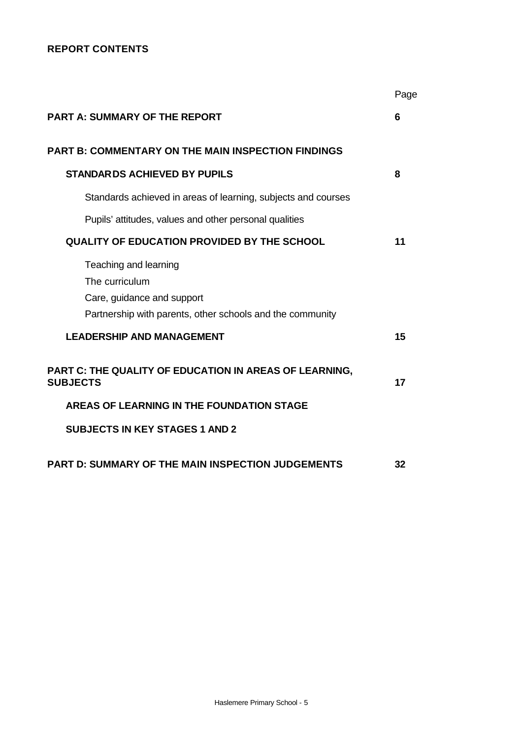# **REPORT CONTENTS**

|                                                                                                                                    | Page |
|------------------------------------------------------------------------------------------------------------------------------------|------|
| <b>PART A: SUMMARY OF THE REPORT</b>                                                                                               | 6    |
| <b>PART B: COMMENTARY ON THE MAIN INSPECTION FINDINGS</b>                                                                          |      |
| <b>STANDAR DS ACHIEVED BY PUPILS</b>                                                                                               | 8    |
| Standards achieved in areas of learning, subjects and courses                                                                      |      |
| Pupils' attitudes, values and other personal qualities                                                                             |      |
| <b>QUALITY OF EDUCATION PROVIDED BY THE SCHOOL</b>                                                                                 | 11   |
| Teaching and learning<br>The curriculum<br>Care, guidance and support<br>Partnership with parents, other schools and the community |      |
| <b>LEADERSHIP AND MANAGEMENT</b>                                                                                                   | 15   |
| PART C: THE QUALITY OF EDUCATION IN AREAS OF LEARNING,<br><b>SUBJECTS</b>                                                          | 17   |
| AREAS OF LEARNING IN THE FOUNDATION STAGE                                                                                          |      |
| <b>SUBJECTS IN KEY STAGES 1 AND 2</b>                                                                                              |      |
| <b>PART D: SUMMARY OF THE MAIN INSPECTION JUDGEMENTS</b>                                                                           | 32   |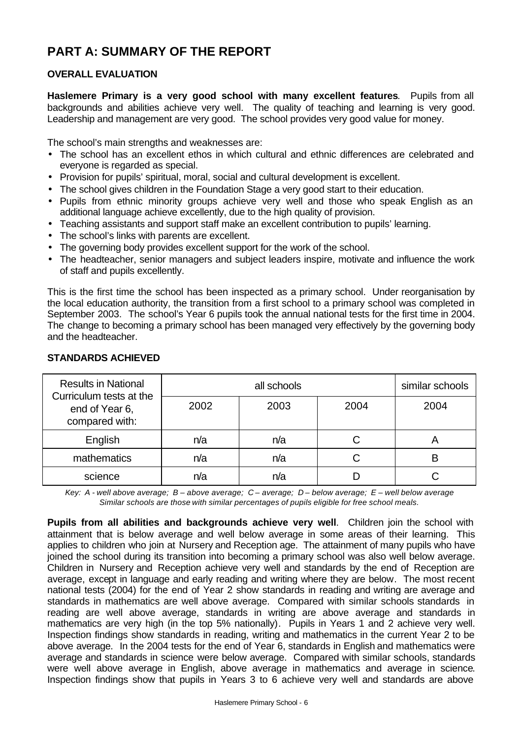# **PART A: SUMMARY OF THE REPORT**

## **OVERALL EVALUATION**

**Haslemere Primary is a very good school with many excellent features**. Pupils from all backgrounds and abilities achieve very well. The quality of teaching and learning is very good. Leadership and management are very good. The school provides very good value for money.

The school's main strengths and weaknesses are:

- The school has an excellent ethos in which cultural and ethnic differences are celebrated and everyone is regarded as special.
- Provision for pupils' spiritual, moral, social and cultural development is excellent.
- The school gives children in the Foundation Stage a very good start to their education.
- Pupils from ethnic minority groups achieve very well and those who speak English as an additional language achieve excellently, due to the high quality of provision.
- Teaching assistants and support staff make an excellent contribution to pupils' learning.
- The school's links with parents are excellent.
- The governing body provides excellent support for the work of the school.
- The headteacher, senior managers and subject leaders inspire, motivate and influence the work of staff and pupils excellently.

This is the first time the school has been inspected as a primary school. Under reorganisation by the local education authority, the transition from a first school to a primary school was completed in September 2003. The school's Year 6 pupils took the annual national tests for the first time in 2004. The change to becoming a primary school has been managed very effectively by the governing body and the headteacher.

| <b>Results in National</b><br>Curriculum tests at the |      | similar schools |      |      |
|-------------------------------------------------------|------|-----------------|------|------|
| end of Year 6,<br>compared with:                      | 2002 | 2003            | 2004 | 2004 |
| English                                               | n/a  | n/a             |      |      |
| mathematics                                           | n/a  | n/a             |      | R    |
| science                                               | n/a  | n/a             |      |      |

### **STANDARDS ACHIEVED**

*Key: A - well above average; B – above average; C – average; D – below average; E – well below average Similar schools are those with similar percentages of pupils eligible for free school meals.*

**Pupils from all abilities and backgrounds achieve very well**. Children join the school with attainment that is below average and well below average in some areas of their learning. This applies to children who join at Nursery and Reception age. The attainment of many pupils who have joined the school during its transition into becoming a primary school was also well below average. Children in Nursery and Reception achieve very well and standards by the end of Reception are average, except in language and early reading and writing where they are below. The most recent national tests (2004) for the end of Year 2 show standards in reading and writing are average and standards in mathematics are well above average. Compared with similar schools standards in reading are well above average, standards in writing are above average and standards in mathematics are very high (in the top 5% nationally). Pupils in Years 1 and 2 achieve very well. Inspection findings show standards in reading, writing and mathematics in the current Year 2 to be above average. In the 2004 tests for the end of Year 6, standards in English and mathematics were average and standards in science were below average. Compared with similar schools, standards were well above average in English, above average in mathematics and average in science. Inspection findings show that pupils in Years 3 to 6 achieve very well and standards are above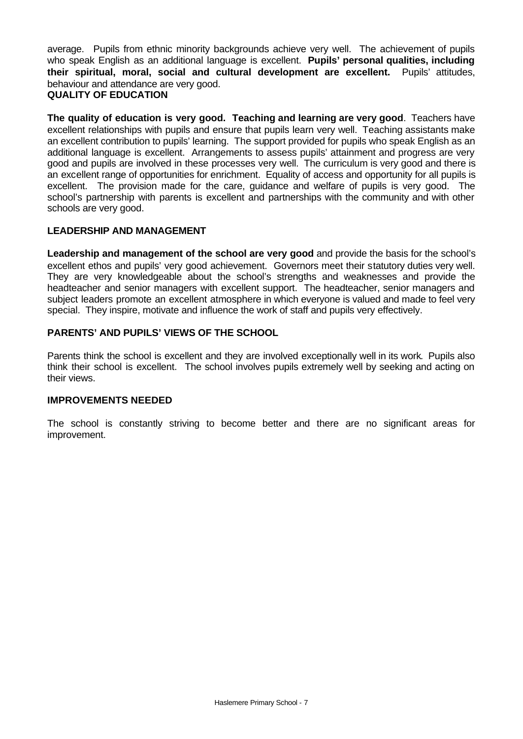average. Pupils from ethnic minority backgrounds achieve very well. The achievement of pupils who speak English as an additional language is excellent. **Pupils' personal qualities, including their spiritual, moral, social and cultural development are excellent.** Pupils' attitudes, behaviour and attendance are very good. **QUALITY OF EDUCATION**

**The quality of education is very good. Teaching and learning are very good**. Teachers have excellent relationships with pupils and ensure that pupils learn very well. Teaching assistants make an excellent contribution to pupils' learning. The support provided for pupils who speak English as an additional language is excellent. Arrangements to assess pupils' attainment and progress are very good and pupils are involved in these processes very well. The curriculum is very good and there is an excellent range of opportunities for enrichment. Equality of access and opportunity for all pupils is excellent. The provision made for the care, guidance and welfare of pupils is very good. The school's partnership with parents is excellent and partnerships with the community and with other schools are very good.

## **LEADERSHIP AND MANAGEMENT**

**Leadership and management of the school are very good** and provide the basis for the school's excellent ethos and pupils' very good achievement. Governors meet their statutory duties very well. They are very knowledgeable about the school's strengths and weaknesses and provide the headteacher and senior managers with excellent support. The headteacher, senior managers and subject leaders promote an excellent atmosphere in which everyone is valued and made to feel very special. They inspire, motivate and influence the work of staff and pupils very effectively.

## **PARENTS' AND PUPILS' VIEWS OF THE SCHOOL**

Parents think the school is excellent and they are involved exceptionally well in its work. Pupils also think their school is excellent. The school involves pupils extremely well by seeking and acting on their views.

### **IMPROVEMENTS NEEDED**

The school is constantly striving to become better and there are no significant areas for improvement.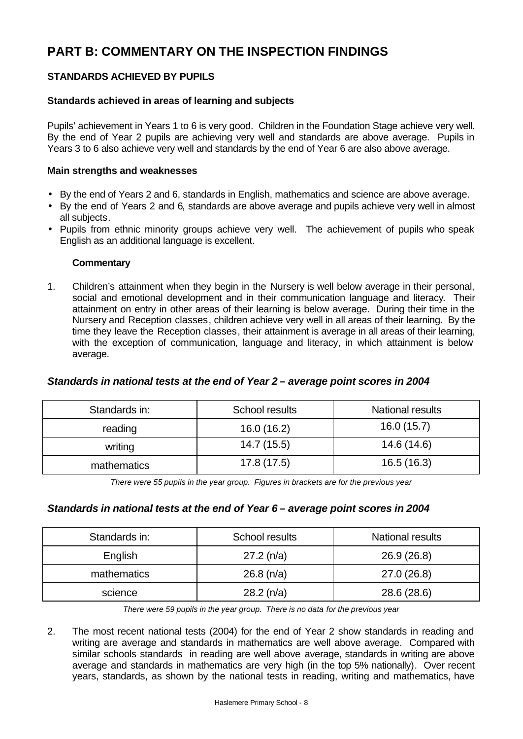# **PART B: COMMENTARY ON THE INSPECTION FINDINGS**

## **STANDARDS ACHIEVED BY PUPILS**

#### **Standards achieved in areas of learning and subjects**

Pupils' achievement in Years 1 to 6 is very good. Children in the Foundation Stage achieve very well. By the end of Year 2 pupils are achieving very well and standards are above average. Pupils in Years 3 to 6 also achieve very well and standards by the end of Year 6 are also above average.

#### **Main strengths and weaknesses**

- By the end of Years 2 and 6, standards in English, mathematics and science are above average.
- By the end of Years 2 and 6, standards are above average and pupils achieve very well in almost all subjects.
- Pupils from ethnic minority groups achieve very well. The achievement of pupils who speak English as an additional language is excellent.

#### **Commentary**

1. Children's attainment when they begin in the Nursery is well below average in their personal, social and emotional development and in their communication language and literacy. Their attainment on entry in other areas of their learning is below average. During their time in the Nursery and Reception classes, children achieve very well in all areas of their learning. By the time they leave the Reception classes, their attainment is average in all areas of their learning, with the exception of communication, language and literacy, in which attainment is below average.

### *Standards in national tests at the end of Year 2 – average point scores in 2004*

| Standards in: | School results | <b>National results</b> |  |  |
|---------------|----------------|-------------------------|--|--|
| reading       | 16.0(16.2)     | 16.0(15.7)              |  |  |
| writing       | 14.7 (15.5)    | 14.6 (14.6)             |  |  |
| mathematics   | 17.8(17.5)     | 16.5(16.3)              |  |  |

*There were 55 pupils in the year group. Figures in brackets are for the previous year* 

### *Standards in national tests at the end of Year 6 – average point scores in 2004*

| Standards in: | School results | <b>National results</b> |  |  |
|---------------|----------------|-------------------------|--|--|
| English       | $27.2$ (n/a)   | 26.9(26.8)              |  |  |
| mathematics   | $26.8$ (n/a)   | 27.0 (26.8)             |  |  |
| science       | $28.2$ (n/a)   | 28.6 (28.6)             |  |  |

*There were 59 pupils in the year group. There is no data for the previous year*

2. The most recent national tests (2004) for the end of Year 2 show standards in reading and writing are average and standards in mathematics are well above average. Compared with similar schools standards in reading are well above average, standards in writing are above average and standards in mathematics are very high (in the top 5% nationally). Over recent years, standards, as shown by the national tests in reading, writing and mathematics, have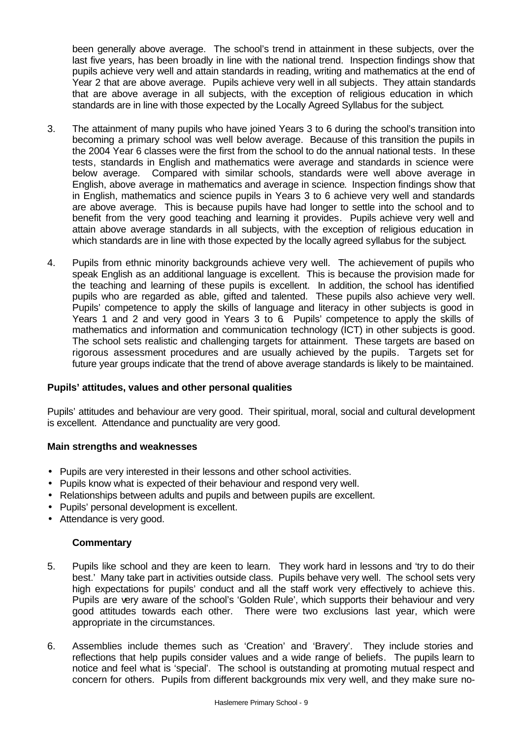been generally above average. The school's trend in attainment in these subjects, over the last five years, has been broadly in line with the national trend. Inspection findings show that pupils achieve very well and attain standards in reading, writing and mathematics at the end of Year 2 that are above average. Pupils achieve very well in all subjects. They attain standards that are above average in all subjects, with the exception of religious education in which standards are in line with those expected by the Locally Agreed Syllabus for the subject.

- 3. The attainment of many pupils who have joined Years 3 to 6 during the school's transition into becoming a primary school was well below average. Because of this transition the pupils in the 2004 Year 6 classes were the first from the school to do the annual national tests. In these tests, standards in English and mathematics were average and standards in science were below average. Compared with similar schools, standards were well above average in English, above average in mathematics and average in science. Inspection findings show that in English, mathematics and science pupils in Years 3 to 6 achieve very well and standards are above average. This is because pupils have had longer to settle into the school and to benefit from the very good teaching and learning it provides. Pupils achieve very well and attain above average standards in all subjects, with the exception of religious education in which standards are in line with those expected by the locally agreed syllabus for the subject.
- 4. Pupils from ethnic minority backgrounds achieve very well. The achievement of pupils who speak English as an additional language is excellent. This is because the provision made for the teaching and learning of these pupils is excellent. In addition, the school has identified pupils who are regarded as able, gifted and talented. These pupils also achieve very well. Pupils' competence to apply the skills of language and literacy in other subjects is good in Years 1 and 2 and very good in Years 3 to 6. Pupils' competence to apply the skills of mathematics and information and communication technology (ICT) in other subjects is good. The school sets realistic and challenging targets for attainment. These targets are based on rigorous assessment procedures and are usually achieved by the pupils. Targets set for future year groups indicate that the trend of above average standards is likely to be maintained.

### **Pupils' attitudes, values and other personal qualities**

Pupils' attitudes and behaviour are very good. Their spiritual, moral, social and cultural development is excellent. Attendance and punctuality are very good.

#### **Main strengths and weaknesses**

- Pupils are very interested in their lessons and other school activities.
- Pupils know what is expected of their behaviour and respond very well.
- Relationships between adults and pupils and between pupils are excellent.
- Pupils' personal development is excellent.
- Attendance is very good.

- 5. Pupils like school and they are keen to learn. They work hard in lessons and 'try to do their best.' Many take part in activities outside class. Pupils behave very well. The school sets very high expectations for pupils' conduct and all the staff work very effectively to achieve this. Pupils are very aware of the school's 'Golden Rule', which supports their behaviour and very good attitudes towards each other. There were two exclusions last year, which were appropriate in the circumstances.
- 6. Assemblies include themes such as 'Creation' and 'Bravery'. They include stories and reflections that help pupils consider values and a wide range of beliefs. The pupils learn to notice and feel what is 'special'. The school is outstanding at promoting mutual respect and concern for others. Pupils from different backgrounds mix very well, and they make sure no-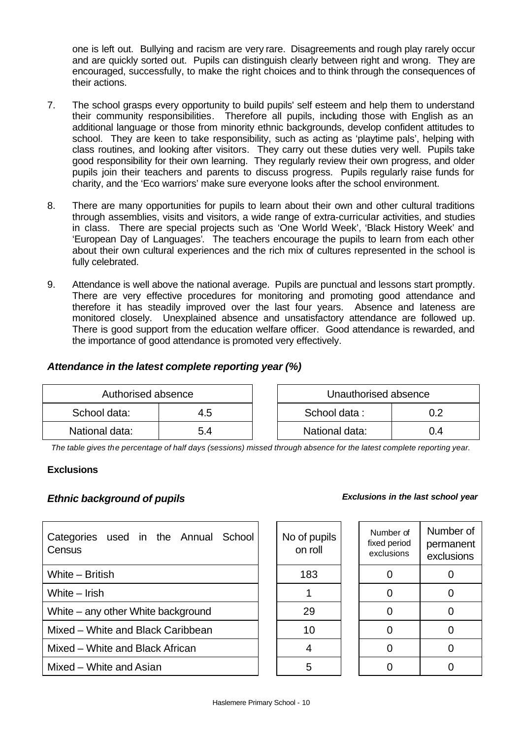one is left out. Bullying and racism are very rare. Disagreements and rough play rarely occur and are quickly sorted out. Pupils can distinguish clearly between right and wrong. They are encouraged, successfully, to make the right choices and to think through the consequences of their actions.

- 7. The school grasps every opportunity to build pupils' self esteem and help them to understand their community responsibilities. Therefore all pupils, including those with English as an additional language or those from minority ethnic backgrounds, develop confident attitudes to school. They are keen to take responsibility, such as acting as 'playtime pals', helping with class routines, and looking after visitors. They carry out these duties very well. Pupils take good responsibility for their own learning. They regularly review their own progress, and older pupils join their teachers and parents to discuss progress. Pupils regularly raise funds for charity, and the 'Eco warriors' make sure everyone looks after the school environment.
- 8. There are many opportunities for pupils to learn about their own and other cultural traditions through assemblies, visits and visitors, a wide range of extra-curricular activities, and studies in class. There are special projects such as 'One World Week', 'Black History Week' and 'European Day of Languages'. The teachers encourage the pupils to learn from each other about their own cultural experiences and the rich mix of cultures represented in the school is fully celebrated.
- 9. Attendance is well above the national average. Pupils are punctual and lessons start promptly. There are very effective procedures for monitoring and promoting good attendance and therefore it has steadily improved over the last four years. Absence and lateness are monitored closely. Unexplained absence and unsatisfactory attendance are followed up. There is good support from the education welfare officer. Good attendance is rewarded, and the importance of good attendance is promoted very effectively.

## *Attendance in the latest complete reporting year (%)*

| Authorised absence |     | Unauthorised absence |    |
|--------------------|-----|----------------------|----|
| School data:       | 4.5 | School data:         |    |
| National data:     | 5.4 | National data:       | 14 |

*The table gives the percentage of half days (sessions) missed through absence for the latest complete reporting year.*

### **Exclusions**

## *Ethnic background of pupils*

| Categories used in the Annual<br>School<br>Census | No of pupils<br>on roll | Number of<br>fixed period<br>exclusions | Numb<br>perma<br>exclus |
|---------------------------------------------------|-------------------------|-----------------------------------------|-------------------------|
| White – British                                   | 183                     |                                         | 0                       |
| White $-$ Irish                                   |                         |                                         | $\overline{0}$          |
| White – any other White background                | 29                      |                                         | 0                       |
| Mixed - White and Black Caribbean                 | 10                      |                                         | $\Omega$                |
| Mixed – White and Black African                   | 4                       |                                         | 0                       |
| Mixed – White and Asian                           | 5                       |                                         | $\Omega$                |

|  | <b>Exclusions in the last school year</b> |  |  |  |  |  |
|--|-------------------------------------------|--|--|--|--|--|
|--|-------------------------------------------|--|--|--|--|--|

| No of pupils<br>on roll | Number of<br>fixed period<br>exclusions | Number of<br>permanent<br>exclusions |
|-------------------------|-----------------------------------------|--------------------------------------|
| 183                     |                                         |                                      |
|                         | ∩                                       |                                      |
| 29                      |                                         |                                      |
| 10                      |                                         |                                      |
|                         |                                         |                                      |
| 5                       |                                         |                                      |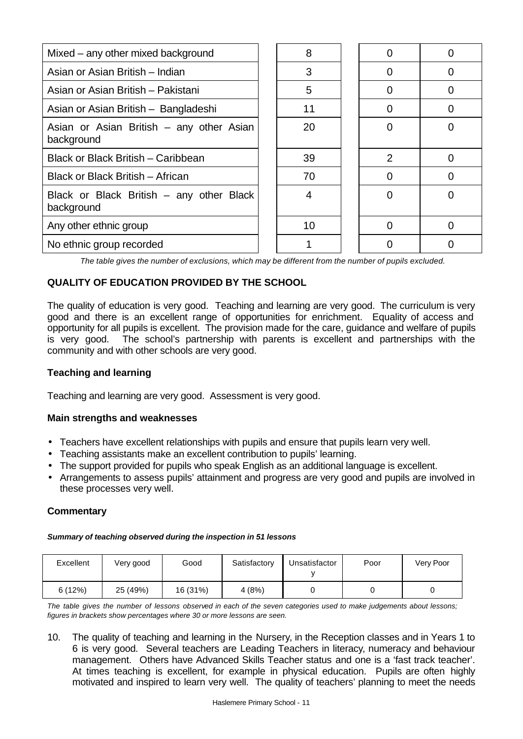| Mixed – any other mixed background                     | 8  |                |  |
|--------------------------------------------------------|----|----------------|--|
| Asian or Asian British - Indian                        | 3  |                |  |
| Asian or Asian British - Pakistani                     | 5  |                |  |
| Asian or Asian British - Bangladeshi                   | 11 |                |  |
| Asian or Asian British – any other Asian<br>background | 20 |                |  |
| Black or Black British - Caribbean                     | 39 | $\overline{2}$ |  |
| Black or Black British - African                       | 70 |                |  |
| Black or Black British – any other Black<br>background | 4  |                |  |
| Any other ethnic group                                 | 10 |                |  |
| No ethnic group recorded                               |    |                |  |

*The table gives the number of exclusions, which may be different from the number of pupils excluded.*

# **QUALITY OF EDUCATION PROVIDED BY THE SCHOOL**

The quality of education is very good. Teaching and learning are very good. The curriculum is very good and there is an excellent range of opportunities for enrichment. Equality of access and opportunity for all pupils is excellent. The provision made for the care, guidance and welfare of pupils is very good. The school's partnership with parents is excellent and partnerships with the community and with other schools are very good.

## **Teaching and learning**

Teaching and learning are very good. Assessment is very good.

### **Main strengths and weaknesses**

- Teachers have excellent relationships with pupils and ensure that pupils learn very well.
- Teaching assistants make an excellent contribution to pupils' learning.
- The support provided for pupils who speak English as an additional language is excellent.
- Arrangements to assess pupils' attainment and progress are very good and pupils are involved in these processes very well.

## **Commentary**

#### *Summary of teaching observed during the inspection in 51 lessons*

| Excellent | Very good | Good     | Satisfactory | Unsatisfactor | Poor | Very Poor |
|-----------|-----------|----------|--------------|---------------|------|-----------|
| 6(12%)    | 25 (49%)  | 16 (31%) | 4 (8%)       |               |      |           |

*The table gives the number of lessons observed in each of the seven categories used to make judgements about lessons; figures in brackets show percentages where 30 or more lessons are seen.*

10. The quality of teaching and learning in the Nursery, in the Reception classes and in Years 1 to 6 is very good. Several teachers are Leading Teachers in literacy, numeracy and behaviour management. Others have Advanced Skills Teacher status and one is a 'fast track teacher'. At times teaching is excellent, for example in physical education. Pupils are often highly motivated and inspired to learn very well. The quality of teachers' planning to meet the needs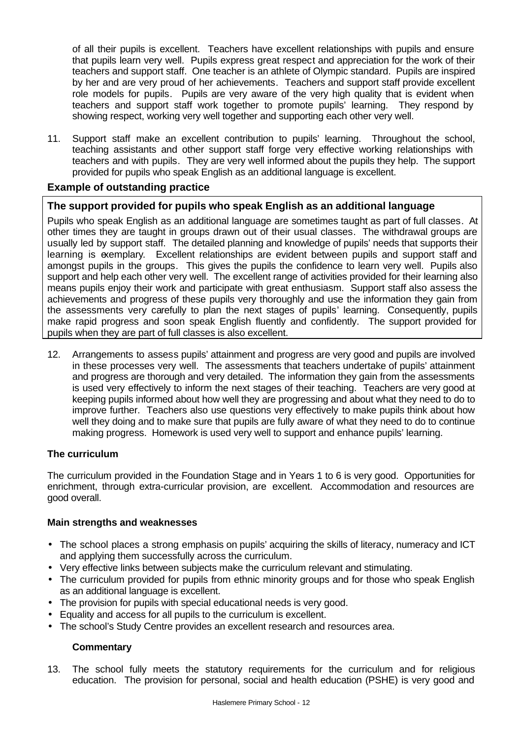of all their pupils is excellent. Teachers have excellent relationships with pupils and ensure that pupils learn very well. Pupils express great respect and appreciation for the work of their teachers and support staff. One teacher is an athlete of Olympic standard. Pupils are inspired by her and are very proud of her achievements. Teachers and support staff provide excellent role models for pupils. Pupils are very aware of the very high quality that is evident when teachers and support staff work together to promote pupils' learning. They respond by showing respect, working very well together and supporting each other very well.

11. Support staff make an excellent contribution to pupils' learning. Throughout the school, teaching assistants and other support staff forge very effective working relationships with teachers and with pupils. They are very well informed about the pupils they help. The support provided for pupils who speak English as an additional language is excellent.

## **Example of outstanding practice**

## **The support provided for pupils who speak English as an additional language**

Pupils who speak English as an additional language are sometimes taught as part of full classes. At other times they are taught in groups drawn out of their usual classes. The withdrawal groups are usually led by support staff. The detailed planning and knowledge of pupils' needs that supports their learning is exemplary. Excellent relationships are evident between pupils and support staff and amongst pupils in the groups. This gives the pupils the confidence to learn very well. Pupils also support and help each other very well. The excellent range of activities provided for their learning also means pupils enjoy their work and participate with great enthusiasm. Support staff also assess the achievements and progress of these pupils very thoroughly and use the information they gain from the assessments very carefully to plan the next stages of pupils' learning. Consequently, pupils make rapid progress and soon speak English fluently and confidently. The support provided for pupils when they are part of full classes is also excellent.

12. Arrangements to assess pupils' attainment and progress are very good and pupils are involved in these processes very well. The assessments that teachers undertake of pupils' attainment and progress are thorough and very detailed. The information they gain from the assessments is used very effectively to inform the next stages of their teaching. Teachers are very good at keeping pupils informed about how well they are progressing and about what they need to do to improve further. Teachers also use questions very effectively to make pupils think about how well they doing and to make sure that pupils are fully aware of what they need to do to continue making progress. Homework is used very well to support and enhance pupils' learning.

### **The curriculum**

The curriculum provided in the Foundation Stage and in Years 1 to 6 is very good. Opportunities for enrichment, through extra-curricular provision, are excellent. Accommodation and resources are good overall.

#### **Main strengths and weaknesses**

- The school places a strong emphasis on pupils' acquiring the skills of literacy, numeracy and ICT and applying them successfully across the curriculum.
- Very effective links between subjects make the curriculum relevant and stimulating.
- The curriculum provided for pupils from ethnic minority groups and for those who speak English as an additional language is excellent.
- The provision for pupils with special educational needs is very good.
- Equality and access for all pupils to the curriculum is excellent.
- The school's Study Centre provides an excellent research and resources area.

### **Commentary**

13. The school fully meets the statutory requirements for the curriculum and for religious education. The provision for personal, social and health education (PSHE) is very good and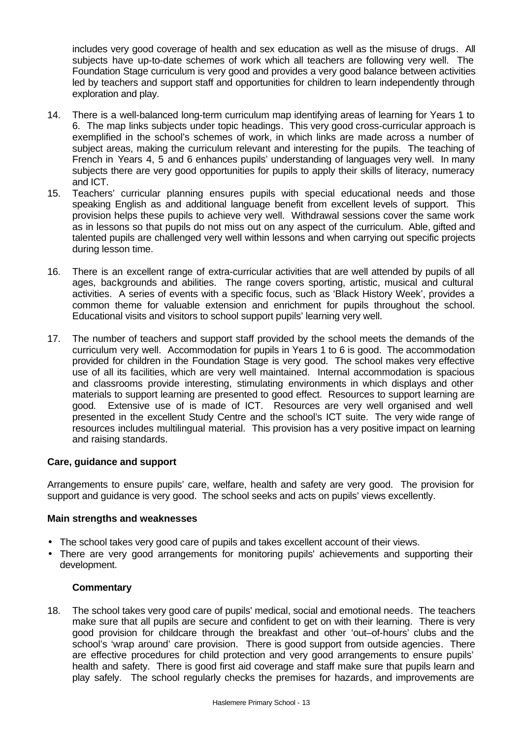includes very good coverage of health and sex education as well as the misuse of drugs. All subjects have up-to-date schemes of work which all teachers are following very well. The Foundation Stage curriculum is very good and provides a very good balance between activities led by teachers and support staff and opportunities for children to learn independently through exploration and play.

- 14. There is a well-balanced long-term curriculum map identifying areas of learning for Years 1 to 6. The map links subjects under topic headings. This very good cross-curricular approach is exemplified in the school's schemes of work, in which links are made across a number of subject areas, making the curriculum relevant and interesting for the pupils. The teaching of French in Years 4, 5 and 6 enhances pupils' understanding of languages very well. In many subjects there are very good opportunities for pupils to apply their skills of literacy, numeracy and ICT.
- 15. Teachers' curricular planning ensures pupils with special educational needs and those speaking English as and additional language benefit from excellent levels of support. This provision helps these pupils to achieve very well. Withdrawal sessions cover the same work as in lessons so that pupils do not miss out on any aspect of the curriculum. Able, gifted and talented pupils are challenged very well within lessons and when carrying out specific projects during lesson time.
- 16. There is an excellent range of extra-curricular activities that are well attended by pupils of all ages, backgrounds and abilities. The range covers sporting, artistic, musical and cultural activities. A series of events with a specific focus, such as 'Black History Week', provides a common theme for valuable extension and enrichment for pupils throughout the school. Educational visits and visitors to school support pupils' learning very well.
- 17. The number of teachers and support staff provided by the school meets the demands of the curriculum very well. Accommodation for pupils in Years 1 to 6 is good. The accommodation provided for children in the Foundation Stage is very good. The school makes very effective use of all its facilities, which are very well maintained. Internal accommodation is spacious and classrooms provide interesting, stimulating environments in which displays and other materials to support learning are presented to good effect. Resources to support learning are good. Extensive use of is made of ICT. Resources are very well organised and well presented in the excellent Study Centre and the school's ICT suite. The very wide range of resources includes multilingual material. This provision has a very positive impact on learning and raising standards.

### **Care, guidance and support**

Arrangements to ensure pupils' care, welfare, health and safety are very good. The provision for support and guidance is very good. The school seeks and acts on pupils' views excellently.

### **Main strengths and weaknesses**

- The school takes very good care of pupils and takes excellent account of their views.
- There are very good arrangements for monitoring pupils' achievements and supporting their development.

### **Commentary**

18. The school takes very good care of pupils' medical, social and emotional needs. The teachers make sure that all pupils are secure and confident to get on with their learning. There is very good provision for childcare through the breakfast and other 'out–of-hours' clubs and the school's 'wrap around' care provision. There is good support from outside agencies. There are effective procedures for child protection and very good arrangements to ensure pupils' health and safety. There is good first aid coverage and staff make sure that pupils learn and play safely. The school regularly checks the premises for hazards, and improvements are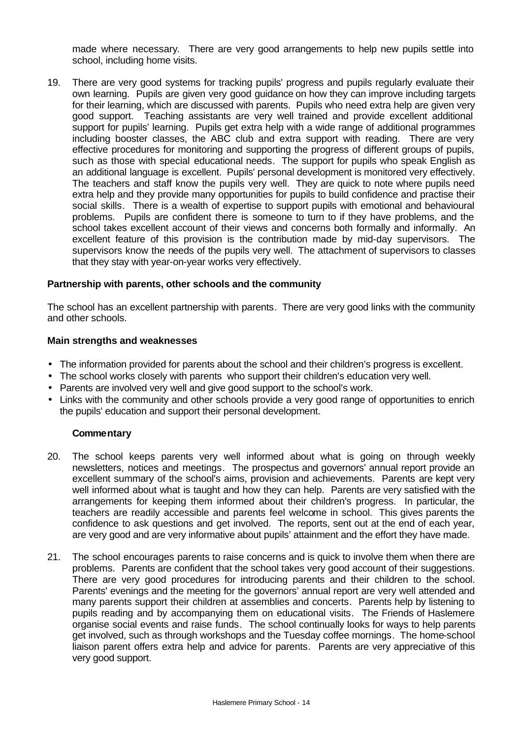made where necessary. There are very good arrangements to help new pupils settle into school, including home visits.

19. There are very good systems for tracking pupils' progress and pupils regularly evaluate their own learning. Pupils are given very good guidance on how they can improve including targets for their learning, which are discussed with parents. Pupils who need extra help are given very good support. Teaching assistants are very well trained and provide excellent additional support for pupils' learning. Pupils get extra help with a wide range of additional programmes including booster classes, the ABC club and extra support with reading. There are very effective procedures for monitoring and supporting the progress of different groups of pupils, such as those with special educational needs. The support for pupils who speak English as an additional language is excellent. Pupils' personal development is monitored very effectively. The teachers and staff know the pupils very well. They are quick to note where pupils need extra help and they provide many opportunities for pupils to build confidence and practise their social skills. There is a wealth of expertise to support pupils with emotional and behavioural problems. Pupils are confident there is someone to turn to if they have problems, and the school takes excellent account of their views and concerns both formally and informally. An excellent feature of this provision is the contribution made by mid-day supervisors. The supervisors know the needs of the pupils very well. The attachment of supervisors to classes that they stay with year-on-year works very effectively.

#### **Partnership with parents, other schools and the community**

The school has an excellent partnership with parents. There are very good links with the community and other schools.

#### **Main strengths and weaknesses**

- The information provided for parents about the school and their children's progress is excellent.
- The school works closely with parents who support their children's education very well.
- Parents are involved very well and give good support to the school's work.
- Links with the community and other schools provide a very good range of opportunities to enrich the pupils' education and support their personal development.

- 20. The school keeps parents very well informed about what is going on through weekly newsletters, notices and meetings. The prospectus and governors' annual report provide an excellent summary of the school's aims, provision and achievements. Parents are kept very well informed about what is taught and how they can help. Parents are very satisfied with the arrangements for keeping them informed about their children's progress. In particular, the teachers are readily accessible and parents feel welcome in school. This gives parents the confidence to ask questions and get involved. The reports, sent out at the end of each year, are very good and are very informative about pupils' attainment and the effort they have made.
- 21. The school encourages parents to raise concerns and is quick to involve them when there are problems. Parents are confident that the school takes very good account of their suggestions. There are very good procedures for introducing parents and their children to the school. Parents' evenings and the meeting for the governors' annual report are very well attended and many parents support their children at assemblies and concerts. Parents help by listening to pupils reading and by accompanying them on educational visits. The Friends of Haslemere organise social events and raise funds. The school continually looks for ways to help parents get involved, such as through workshops and the Tuesday coffee mornings. The home-school liaison parent offers extra help and advice for parents. Parents are very appreciative of this very good support.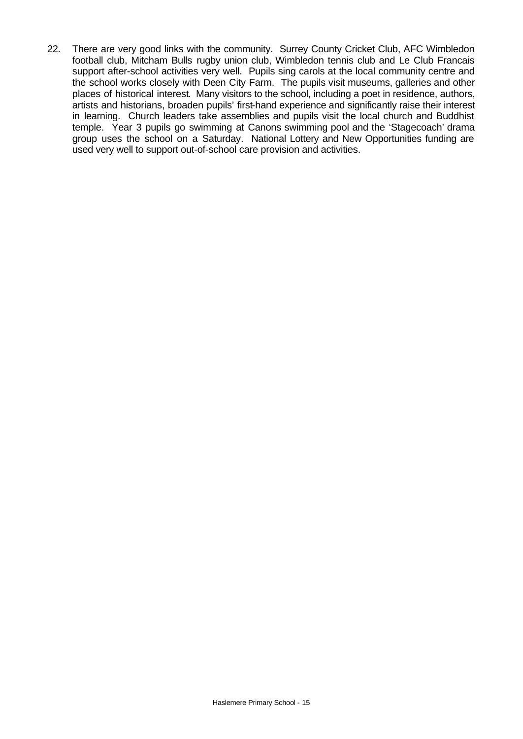22. There are very good links with the community. Surrey County Cricket Club, AFC Wimbledon football club, Mitcham Bulls rugby union club, Wimbledon tennis club and Le Club Francais support after-school activities very well. Pupils sing carols at the local community centre and the school works closely with Deen City Farm. The pupils visit museums, galleries and other places of historical interest. Many visitors to the school, including a poet in residence, authors, artists and historians, broaden pupils' first-hand experience and significantly raise their interest in learning. Church leaders take assemblies and pupils visit the local church and Buddhist temple. Year 3 pupils go swimming at Canons swimming pool and the 'Stagecoach' drama group uses the school on a Saturday. National Lottery and New Opportunities funding are used very well to support out-of-school care provision and activities.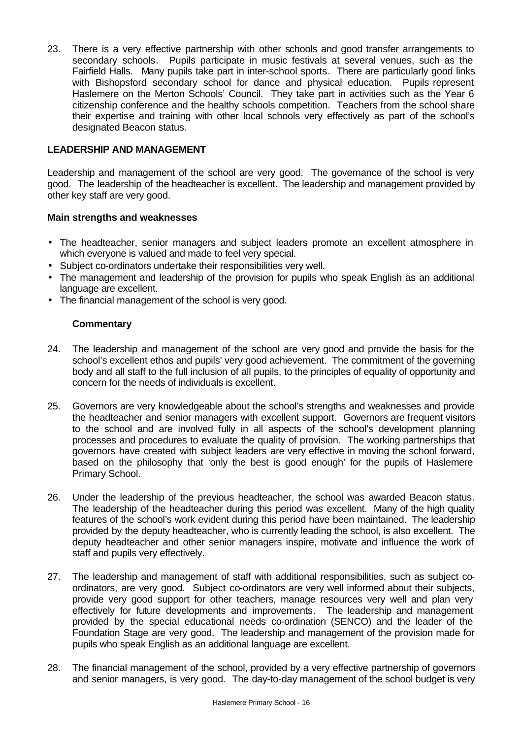23. There is a very effective partnership with other schools and good transfer arrangements to secondary schools. Pupils participate in music festivals at several venues, such as the Fairfield Halls. Many pupils take part in inter-school sports. There are particularly good links with Bishopsford secondary school for dance and physical education. Pupils represent Haslemere on the Merton Schools' Council. They take part in activities such as the Year 6 citizenship conference and the healthy schools competition. Teachers from the school share their expertise and training with other local schools very effectively as part of the school's designated Beacon status.

## **LEADERSHIP AND MANAGEMENT**

Leadership and management of the school are very good. The governance of the school is very good. The leadership of the headteacher is excellent. The leadership and management provided by other key staff are very good.

### **Main strengths and weaknesses**

- The headteacher, senior managers and subject leaders promote an excellent atmosphere in which everyone is valued and made to feel very special.
- Subject co-ordinators undertake their responsibilities very well.
- The management and leadership of the provision for pupils who speak English as an additional language are excellent.
- The financial management of the school is very good.

- 24. The leadership and management of the school are very good and provide the basis for the school's excellent ethos and pupils' very good achievement. The commitment of the governing body and all staff to the full inclusion of all pupils, to the principles of equality of opportunity and concern for the needs of individuals is excellent.
- 25. Governors are very knowledgeable about the school's strengths and weaknesses and provide the headteacher and senior managers with excellent support. Governors are frequent visitors to the school and are involved fully in all aspects of the school's development planning processes and procedures to evaluate the quality of provision. The working partnerships that governors have created with subject leaders are very effective in moving the school forward, based on the philosophy that 'only the best is good enough' for the pupils of Haslemere Primary School.
- 26. Under the leadership of the previous headteacher, the school was awarded Beacon status. The leadership of the headteacher during this period was excellent. Many of the high quality features of the school's work evident during this period have been maintained. The leadership provided by the deputy headteacher, who is currently leading the school, is also excellent. The deputy headteacher and other senior managers inspire, motivate and influence the work of staff and pupils very effectively.
- 27. The leadership and management of staff with additional responsibilities, such as subject coordinators, are very good. Subject co-ordinators are very well informed about their subjects, provide very good support for other teachers, manage resources very well and plan very effectively for future developments and improvements. The leadership and management provided by the special educational needs co-ordination (SENCO) and the leader of the Foundation Stage are very good. The leadership and management of the provision made for pupils who speak English as an additional language are excellent.
- 28. The financial management of the school, provided by a very effective partnership of governors and senior managers, is very good. The day-to-day management of the school budget is very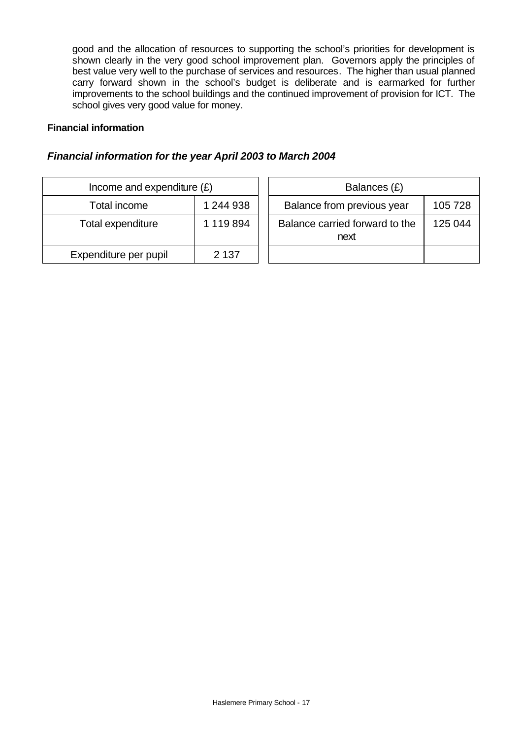good and the allocation of resources to supporting the school's priorities for development is shown clearly in the very good school improvement plan. Governors apply the principles of best value very well to the purchase of services and resources. The higher than usual planned carry forward shown in the school's budget is deliberate and is earmarked for further improvements to the school buildings and the continued improvement of provision for ICT. The school gives very good value for money.

### **Financial information**

## *Financial information for the year April 2003 to March 2004*

| Income and expenditure $(E)$ |           |  | Balances (£)                           |
|------------------------------|-----------|--|----------------------------------------|
| Total income                 | 1 244 938 |  | Balance from previous year             |
| Total expenditure            | 1 119 894 |  | Balance carried forward to the<br>next |
| Expenditure per pupil        | 2 1 3 7   |  |                                        |

| Income and expenditure $(E)$ |           | Balances (£)                           |         |  |  |
|------------------------------|-----------|----------------------------------------|---------|--|--|
| Total income                 | 1 244 938 | Balance from previous year             | 105 728 |  |  |
| tal expenditure              | 1 119 894 | Balance carried forward to the<br>next | 125 044 |  |  |
| enditure per pupil           | 2 1 3 7   |                                        |         |  |  |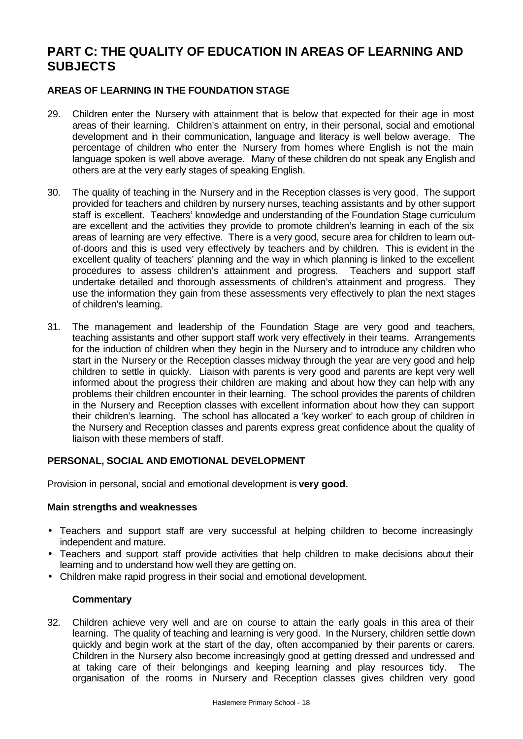# **PART C: THE QUALITY OF EDUCATION IN AREAS OF LEARNING AND SUBJECTS**

## **AREAS OF LEARNING IN THE FOUNDATION STAGE**

- 29. Children enter the Nursery with attainment that is below that expected for their age in most areas of their learning. Children's attainment on entry, in their personal, social and emotional development and in their communication, language and literacy is well below average. The percentage of children who enter the Nursery from homes where English is not the main language spoken is well above average. Many of these children do not speak any English and others are at the very early stages of speaking English.
- 30. The quality of teaching in the Nursery and in the Reception classes is very good. The support provided for teachers and children by nursery nurses, teaching assistants and by other support staff is excellent. Teachers' knowledge and understanding of the Foundation Stage curriculum are excellent and the activities they provide to promote children's learning in each of the six areas of learning are very effective. There is a very good, secure area for children to learn outof-doors and this is used very effectively by teachers and by children. This is evident in the excellent quality of teachers' planning and the way in which planning is linked to the excellent procedures to assess children's attainment and progress. Teachers and support staff undertake detailed and thorough assessments of children's attainment and progress. They use the information they gain from these assessments very effectively to plan the next stages of children's learning.
- 31. The management and leadership of the Foundation Stage are very good and teachers, teaching assistants and other support staff work very effectively in their teams. Arrangements for the induction of children when they begin in the Nursery and to introduce any children who start in the Nursery or the Reception classes midway through the year are very good and help children to settle in quickly. Liaison with parents is very good and parents are kept very well informed about the progress their children are making and about how they can help with any problems their children encounter in their learning. The school provides the parents of children in the Nursery and Reception classes with excellent information about how they can support their children's learning. The school has allocated a 'key worker' to each group of children in the Nursery and Reception classes and parents express great confidence about the quality of liaison with these members of staff.

### **PERSONAL, SOCIAL AND EMOTIONAL DEVELOPMENT**

Provision in personal, social and emotional development is **very good.**

### **Main strengths and weaknesses**

- Teachers and support staff are very successful at helping children to become increasingly independent and mature.
- Teachers and support staff provide activities that help children to make decisions about their learning and to understand how well they are getting on.
- Children make rapid progress in their social and emotional development.

### **Commentary**

32. Children achieve very well and are on course to attain the early goals in this area of their learning. The quality of teaching and learning is very good. In the Nursery, children settle down quickly and begin work at the start of the day, often accompanied by their parents or carers. Children in the Nursery also become increasingly good at getting dressed and undressed and at taking care of their belongings and keeping learning and play resources tidy. The organisation of the rooms in Nursery and Reception classes gives children very good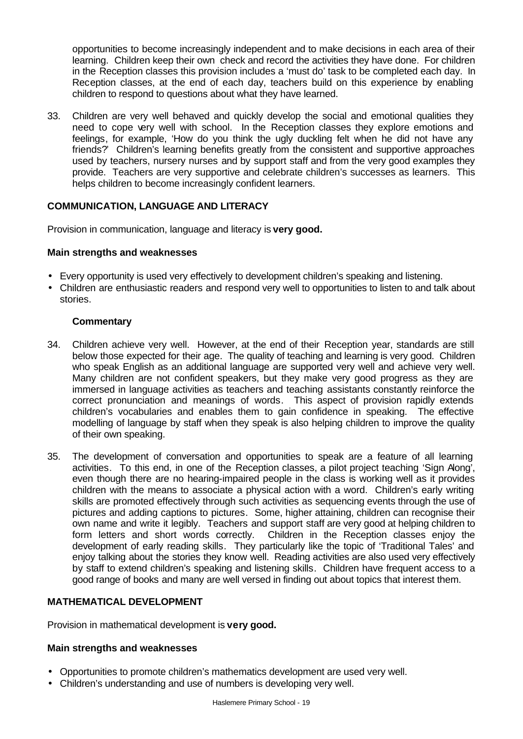opportunities to become increasingly independent and to make decisions in each area of their learning. Children keep their own check and record the activities they have done. For children in the Reception classes this provision includes a 'must do' task to be completed each day. In Reception classes, at the end of each day, teachers build on this experience by enabling children to respond to questions about what they have learned.

33. Children are very well behaved and quickly develop the social and emotional qualities they need to cope very well with school. In the Reception classes they explore emotions and feelings, for example, 'How do you think the ugly duckling felt when he did not have any friends?' Children's learning benefits greatly from the consistent and supportive approaches used by teachers, nursery nurses and by support staff and from the very good examples they provide. Teachers are very supportive and celebrate children's successes as learners. This helps children to become increasingly confident learners.

### **COMMUNICATION, LANGUAGE AND LITERACY**

Provision in communication, language and literacy is **very good.**

#### **Main strengths and weaknesses**

- Every opportunity is used very effectively to development children's speaking and listening.
- Children are enthusiastic readers and respond very well to opportunities to listen to and talk about stories.

### **Commentary**

- 34. Children achieve very well. However, at the end of their Reception year, standards are still below those expected for their age. The quality of teaching and learning is very good. Children who speak English as an additional language are supported very well and achieve very well. Many children are not confident speakers, but they make very good progress as they are immersed in language activities as teachers and teaching assistants constantly reinforce the correct pronunciation and meanings of words. This aspect of provision rapidly extends children's vocabularies and enables them to gain confidence in speaking. The effective modelling of language by staff when they speak is also helping children to improve the quality of their own speaking.
- 35. The development of conversation and opportunities to speak are a feature of all learning activities. To this end, in one of the Reception classes, a pilot project teaching 'Sign Along', even though there are no hearing-impaired people in the class is working well as it provides children with the means to associate a physical action with a word. Children's early writing skills are promoted effectively through such activities as sequencing events through the use of pictures and adding captions to pictures. Some, higher attaining, children can recognise their own name and write it legibly. Teachers and support staff are very good at helping children to form letters and short words correctly. Children in the Reception classes enjoy the development of early reading skills. They particularly like the topic of 'Traditional Tales' and enjoy talking about the stories they know well. Reading activities are also used very effectively by staff to extend children's speaking and listening skills. Children have frequent access to a good range of books and many are well versed in finding out about topics that interest them.

### **MATHEMATICAL DEVELOPMENT**

Provision in mathematical development is **very good.**

### **Main strengths and weaknesses**

- Opportunities to promote children's mathematics development are used very well.
- Children's understanding and use of numbers is developing very well.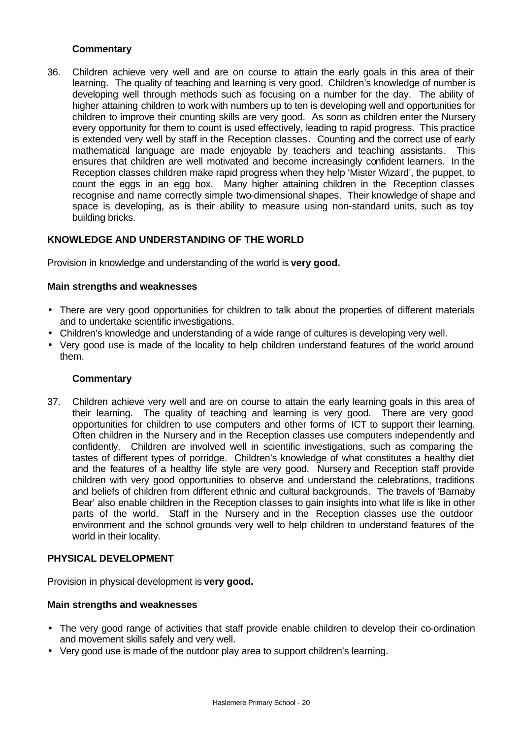## **Commentary**

36. Children achieve very well and are on course to attain the early goals in this area of their learning. The quality of teaching and learning is very good. Children's knowledge of number is developing well through methods such as focusing on a number for the day. The ability of higher attaining children to work with numbers up to ten is developing well and opportunities for children to improve their counting skills are very good. As soon as children enter the Nursery every opportunity for them to count is used effectively, leading to rapid progress. This practice is extended very well by staff in the Reception classes. Counting and the correct use of early mathematical language are made enjoyable by teachers and teaching assistants. This ensures that children are well motivated and become increasingly confident learners. In the Reception classes children make rapid progress when they help 'Mister Wizard', the puppet, to count the eggs in an egg box. Many higher attaining children in the Reception classes recognise and name correctly simple two-dimensional shapes. Their knowledge of shape and space is developing, as is their ability to measure using non-standard units, such as toy building bricks.

## **KNOWLEDGE AND UNDERSTANDING OF THE WORLD**

Provision in knowledge and understanding of the world is **very good.**

### **Main strengths and weaknesses**

- There are very good opportunities for children to talk about the properties of different materials and to undertake scientific investigations.
- Children's knowledge and understanding of a wide range of cultures is developing very well.
- Very good use is made of the locality to help children understand features of the world around them.

### **Commentary**

37. Children achieve very well and are on course to attain the early learning goals in this area of their learning. The quality of teaching and learning is very good. There are very good opportunities for children to use computers and other forms of ICT to support their learning. Often children in the Nursery and in the Reception classes use computers independently and confidently. Children are involved well in scientific investigations, such as comparing the tastes of different types of porridge. Children's knowledge of what constitutes a healthy diet and the features of a healthy life style are very good. Nursery and Reception staff provide children with very good opportunities to observe and understand the celebrations, traditions and beliefs of children from different ethnic and cultural backgrounds. The travels of 'Barnaby Bear' also enable children in the Reception classes to gain insights into what life is like in other parts of the world. Staff in the Nursery and in the Reception classes use the outdoor environment and the school grounds very well to help children to understand features of the world in their locality.

### **PHYSICAL DEVELOPMENT**

Provision in physical development is **very good.**

### **Main strengths and weaknesses**

- The very good range of activities that staff provide enable children to develop their co-ordination and movement skills safely and very well.
- Very good use is made of the outdoor play area to support children's learning.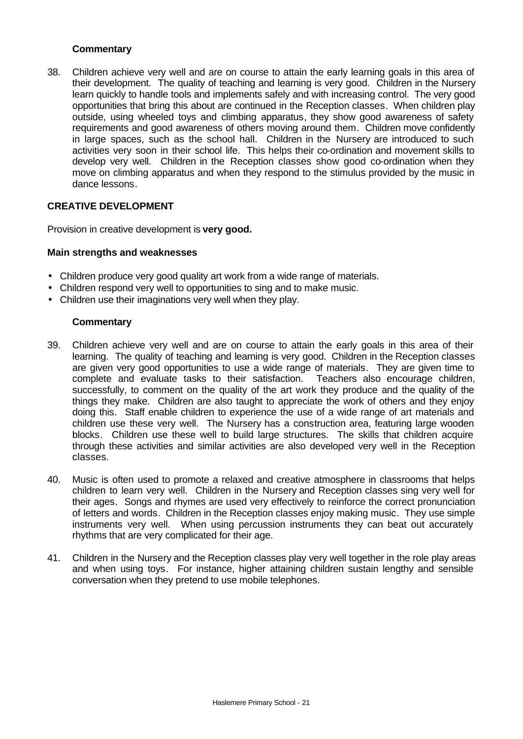## **Commentary**

38. Children achieve very well and are on course to attain the early learning goals in this area of their development. The quality of teaching and learning is very good. Children in the Nursery learn quickly to handle tools and implements safely and with increasing control. The very good opportunities that bring this about are continued in the Reception classes. When children play outside, using wheeled toys and climbing apparatus, they show good awareness of safety requirements and good awareness of others moving around them. Children move confidently in large spaces, such as the school hall. Children in the Nursery are introduced to such activities very soon in their school life. This helps their co-ordination and movement skills to develop very well. Children in the Reception classes show good co-ordination when they move on climbing apparatus and when they respond to the stimulus provided by the music in dance lessons.

## **CREATIVE DEVELOPMENT**

Provision in creative development is **very good.**

#### **Main strengths and weaknesses**

- Children produce very good quality art work from a wide range of materials.
- Children respond very well to opportunities to sing and to make music.
- Children use their imaginations very well when they play.

- 39. Children achieve very well and are on course to attain the early goals in this area of their learning. The quality of teaching and learning is very good. Children in the Reception classes are given very good opportunities to use a wide range of materials. They are given time to complete and evaluate tasks to their satisfaction. Teachers also encourage children, successfully, to comment on the quality of the art work they produce and the quality of the things they make. Children are also taught to appreciate the work of others and they enjoy doing this. Staff enable children to experience the use of a wide range of art materials and children use these very well. The Nursery has a construction area, featuring large wooden blocks. Children use these well to build large structures. The skills that children acquire through these activities and similar activities are also developed very well in the Reception classes.
- 40. Music is often used to promote a relaxed and creative atmosphere in classrooms that helps children to learn very well. Children in the Nursery and Reception classes sing very well for their ages. Songs and rhymes are used very effectively to reinforce the correct pronunciation of letters and words. Children in the Reception classes enjoy making music. They use simple instruments very well. When using percussion instruments they can beat out accurately rhythms that are very complicated for their age.
- 41. Children in the Nursery and the Reception classes play very well together in the role play areas and when using toys. For instance, higher attaining children sustain lengthy and sensible conversation when they pretend to use mobile telephones.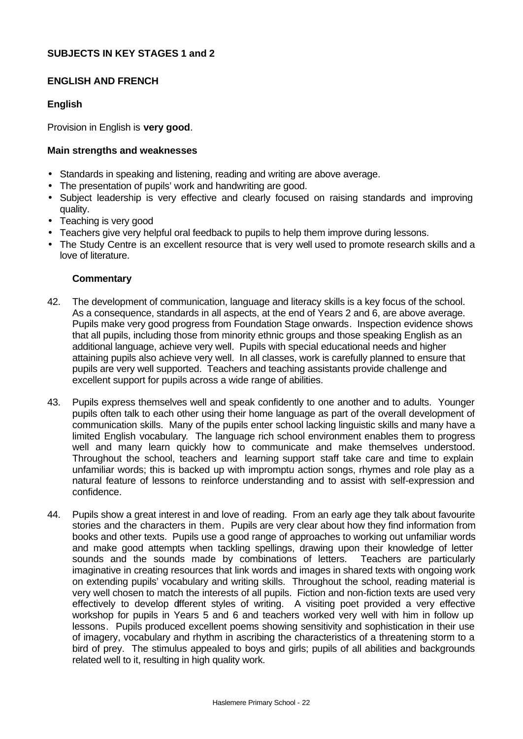## **SUBJECTS IN KEY STAGES 1 and 2**

#### **ENGLISH AND FRENCH**

### **English**

Provision in English is **very good**.

#### **Main strengths and weaknesses**

- Standards in speaking and listening, reading and writing are above average.
- The presentation of pupils' work and handwriting are good.
- Subject leadership is very effective and clearly focused on raising standards and improving quality.
- Teaching is very good
- Teachers give very helpful oral feedback to pupils to help them improve during lessons.
- The Study Centre is an excellent resource that is very well used to promote research skills and a love of literature.

- 42. The development of communication, language and literacy skills is a key focus of the school. As a consequence, standards in all aspects, at the end of Years 2 and 6, are above average. Pupils make very good progress from Foundation Stage onwards. Inspection evidence shows that all pupils, including those from minority ethnic groups and those speaking English as an additional language, achieve very well. Pupils with special educational needs and higher attaining pupils also achieve very well. In all classes, work is carefully planned to ensure that pupils are very well supported. Teachers and teaching assistants provide challenge and excellent support for pupils across a wide range of abilities.
- 43. Pupils express themselves well and speak confidently to one another and to adults. Younger pupils often talk to each other using their home language as part of the overall development of communication skills. Many of the pupils enter school lacking linguistic skills and many have a limited English vocabulary. The language rich school environment enables them to progress well and many learn quickly how to communicate and make themselves understood. Throughout the school, teachers and learning support staff take care and time to explain unfamiliar words; this is backed up with impromptu action songs, rhymes and role play as a natural feature of lessons to reinforce understanding and to assist with self-expression and confidence.
- 44. Pupils show a great interest in and love of reading. From an early age they talk about favourite stories and the characters in them. Pupils are very clear about how they find information from books and other texts. Pupils use a good range of approaches to working out unfamiliar words and make good attempts when tackling spellings, drawing upon their knowledge of letter sounds and the sounds made by combinations of letters. Teachers are particularly imaginative in creating resources that link words and images in shared texts with ongoing work on extending pupils' vocabulary and writing skills. Throughout the school, reading material is very well chosen to match the interests of all pupils. Fiction and non-fiction texts are used very effectively to develop different styles of writing. A visiting poet provided a very effective workshop for pupils in Years 5 and 6 and teachers worked very well with him in follow up lessons. Pupils produced excellent poems showing sensitivity and sophistication in their use of imagery, vocabulary and rhythm in ascribing the characteristics of a threatening storm to a bird of prey. The stimulus appealed to boys and girls; pupils of all abilities and backgrounds related well to it, resulting in high quality work.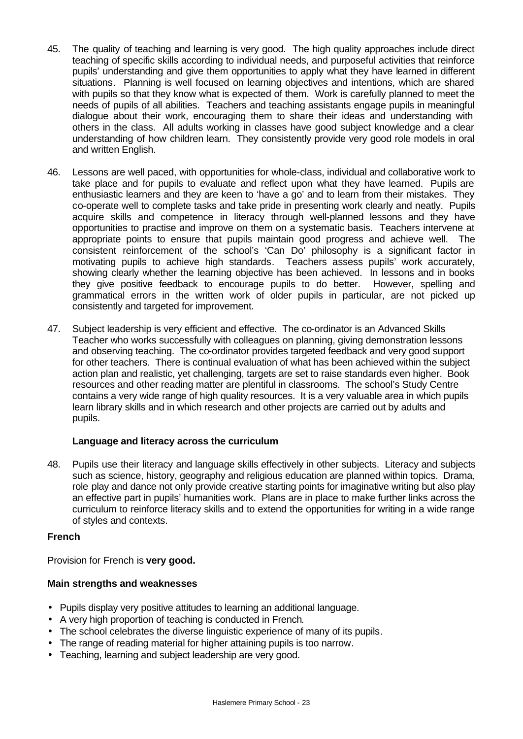- 45. The quality of teaching and learning is very good. The high quality approaches include direct teaching of specific skills according to individual needs, and purposeful activities that reinforce pupils' understanding and give them opportunities to apply what they have learned in different situations. Planning is well focused on learning objectives and intentions, which are shared with pupils so that they know what is expected of them. Work is carefully planned to meet the needs of pupils of all abilities. Teachers and teaching assistants engage pupils in meaningful dialogue about their work, encouraging them to share their ideas and understanding with others in the class. All adults working in classes have good subject knowledge and a clear understanding of how children learn. They consistently provide very good role models in oral and written English.
- 46. Lessons are well paced, with opportunities for whole-class, individual and collaborative work to take place and for pupils to evaluate and reflect upon what they have learned. Pupils are enthusiastic learners and they are keen to 'have a go' and to learn from their mistakes. They co-operate well to complete tasks and take pride in presenting work clearly and neatly. Pupils acquire skills and competence in literacy through well-planned lessons and they have opportunities to practise and improve on them on a systematic basis. Teachers intervene at appropriate points to ensure that pupils maintain good progress and achieve well. The consistent reinforcement of the school's 'Can Do' philosophy is a significant factor in motivating pupils to achieve high standards. Teachers assess pupils' work accurately, showing clearly whether the learning objective has been achieved. In lessons and in books they give positive feedback to encourage pupils to do better. However, spelling and grammatical errors in the written work of older pupils in particular, are not picked up consistently and targeted for improvement.
- 47. Subject leadership is very efficient and effective. The co-ordinator is an Advanced Skills Teacher who works successfully with colleagues on planning, giving demonstration lessons and observing teaching. The co-ordinator provides targeted feedback and very good support for other teachers. There is continual evaluation of what has been achieved within the subject action plan and realistic, yet challenging, targets are set to raise standards even higher. Book resources and other reading matter are plentiful in classrooms. The school's Study Centre contains a very wide range of high quality resources. It is a very valuable area in which pupils learn library skills and in which research and other projects are carried out by adults and pupils.

### **Language and literacy across the curriculum**

48. Pupils use their literacy and language skills effectively in other subjects. Literacy and subjects such as science, history, geography and religious education are planned within topics. Drama, role play and dance not only provide creative starting points for imaginative writing but also play an effective part in pupils' humanities work. Plans are in place to make further links across the curriculum to reinforce literacy skills and to extend the opportunities for writing in a wide range of styles and contexts.

### **French**

Provision for French is **very good.**

### **Main strengths and weaknesses**

- Pupils display very positive attitudes to learning an additional language.
- A very high proportion of teaching is conducted in French.
- The school celebrates the diverse linguistic experience of many of its pupils.
- The range of reading material for higher attaining pupils is too narrow.
- Teaching, learning and subject leadership are very good.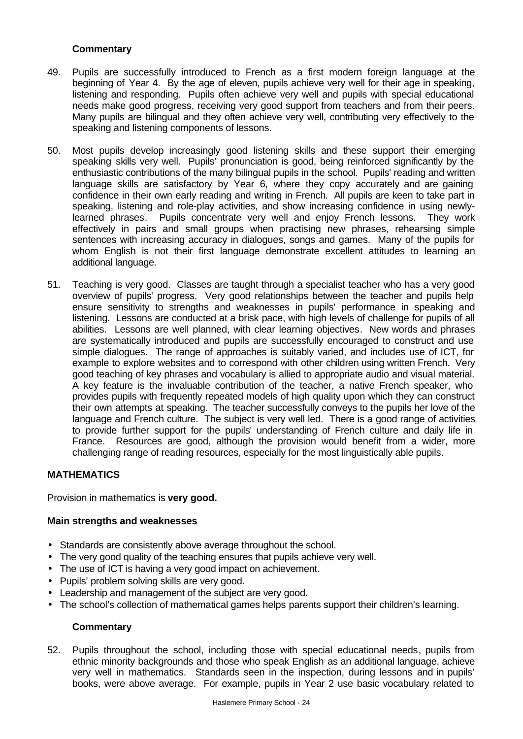## **Commentary**

- 49. Pupils are successfully introduced to French as a first modern foreign language at the beginning of Year 4. By the age of eleven, pupils achieve very well for their age in speaking, listening and responding. Pupils often achieve very well and pupils with special educational needs make good progress, receiving very good support from teachers and from their peers. Many pupils are bilingual and they often achieve very well, contributing very effectively to the speaking and listening components of lessons.
- 50. Most pupils develop increasingly good listening skills and these support their emerging speaking skills very well. Pupils' pronunciation is good, being reinforced significantly by the enthusiastic contributions of the many bilingual pupils in the school. Pupils' reading and written language skills are satisfactory by Year 6, where they copy accurately and are gaining confidence in their own early reading and writing in French. All pupils are keen to take part in speaking, listening and role-play activities, and show increasing confidence in using newlylearned phrases. Pupils concentrate very well and enjoy French lessons. They work effectively in pairs and small groups when practising new phrases, rehearsing simple sentences with increasing accuracy in dialogues, songs and games. Many of the pupils for whom English is not their first language demonstrate excellent attitudes to learning an additional language.
- 51. Teaching is very good. Classes are taught through a specialist teacher who has a very good overview of pupils' progress. Very good relationships between the teacher and pupils help ensure sensitivity to strengths and weaknesses in pupils' performance in speaking and listening. Lessons are conducted at a brisk pace, with high levels of challenge for pupils of all abilities. Lessons are well planned, with clear learning objectives. New words and phrases are systematically introduced and pupils are successfully encouraged to construct and use simple dialogues. The range of approaches is suitably varied, and includes use of ICT, for example to explore websites and to correspond with other children using written French. Very good teaching of key phrases and vocabulary is allied to appropriate audio and visual material. A key feature is the invaluable contribution of the teacher, a native French speaker, who provides pupils with frequently repeated models of high quality upon which they can construct their own attempts at speaking. The teacher successfully conveys to the pupils her love of the language and French culture. The subject is very well led. There is a good range of activities to provide further support for the pupils' understanding of French culture and daily life in France. Resources are good, although the provision would benefit from a wider, more challenging range of reading resources, especially for the most linguistically able pupils.

### **MATHEMATICS**

Provision in mathematics is **very good.**

### **Main strengths and weaknesses**

- Standards are consistently above average throughout the school.
- The very good quality of the teaching ensures that pupils achieve very well.
- The use of ICT is having a very good impact on achievement.
- Pupils' problem solving skills are very good.
- Leadership and management of the subject are very good.
- The school's collection of mathematical games helps parents support their children's learning.

### **Commentary**

52. Pupils throughout the school, including those with special educational needs, pupils from ethnic minority backgrounds and those who speak English as an additional language, achieve very well in mathematics. Standards seen in the inspection, during lessons and in pupils' books, were above average. For example, pupils in Year 2 use basic vocabulary related to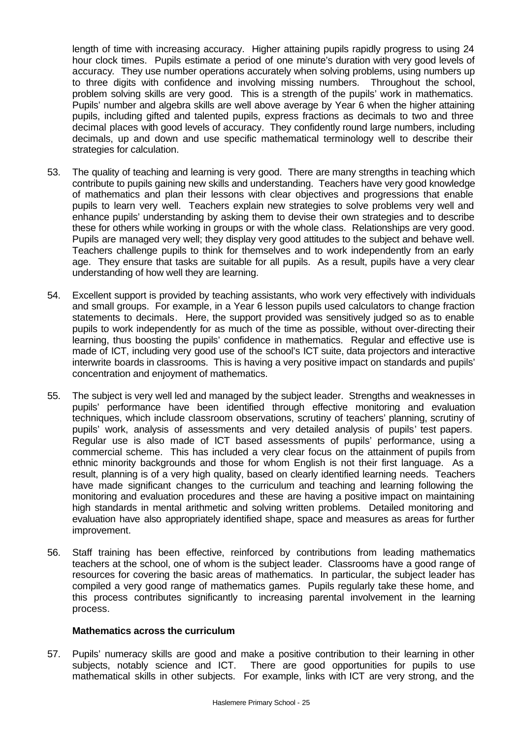length of time with increasing accuracy. Higher attaining pupils rapidly progress to using 24 hour clock times. Pupils estimate a period of one minute's duration with very good levels of accuracy. They use number operations accurately when solving problems, using numbers up to three digits with confidence and involving missing numbers. Throughout the school, problem solving skills are very good. This is a strength of the pupils' work in mathematics. Pupils' number and algebra skills are well above average by Year 6 when the higher attaining pupils, including gifted and talented pupils, express fractions as decimals to two and three decimal places with good levels of accuracy. They confidently round large numbers, including decimals, up and down and use specific mathematical terminology well to describe their strategies for calculation.

- 53. The quality of teaching and learning is very good. There are many strengths in teaching which contribute to pupils gaining new skills and understanding. Teachers have very good knowledge of mathematics and plan their lessons with clear objectives and progressions that enable pupils to learn very well. Teachers explain new strategies to solve problems very well and enhance pupils' understanding by asking them to devise their own strategies and to describe these for others while working in groups or with the whole class. Relationships are very good. Pupils are managed very well; they display very good attitudes to the subject and behave well. Teachers challenge pupils to think for themselves and to work independently from an early age. They ensure that tasks are suitable for all pupils. As a result, pupils have a very clear understanding of how well they are learning.
- 54. Excellent support is provided by teaching assistants, who work very effectively with individuals and small groups. For example, in a Year 6 lesson pupils used calculators to change fraction statements to decimals. Here, the support provided was sensitively judged so as to enable pupils to work independently for as much of the time as possible, without over-directing their learning, thus boosting the pupils' confidence in mathematics. Regular and effective use is made of ICT, including very good use of the school's ICT suite, data projectors and interactive interwrite boards in classrooms. This is having a very positive impact on standards and pupils' concentration and enjoyment of mathematics.
- 55. The subject is very well led and managed by the subject leader. Strengths and weaknesses in pupils' performance have been identified through effective monitoring and evaluation techniques, which include classroom observations, scrutiny of teachers' planning, scrutiny of pupils' work, analysis of assessments and very detailed analysis of pupils' test papers. Regular use is also made of ICT based assessments of pupils' performance, using a commercial scheme. This has included a very clear focus on the attainment of pupils from ethnic minority backgrounds and those for whom English is not their first language. As a result, planning is of a very high quality, based on clearly identified learning needs. Teachers have made significant changes to the curriculum and teaching and learning following the monitoring and evaluation procedures and these are having a positive impact on maintaining high standards in mental arithmetic and solving written problems. Detailed monitoring and evaluation have also appropriately identified shape, space and measures as areas for further improvement.
- 56. Staff training has been effective, reinforced by contributions from leading mathematics teachers at the school, one of whom is the subject leader. Classrooms have a good range of resources for covering the basic areas of mathematics. In particular, the subject leader has compiled a very good range of mathematics games. Pupils regularly take these home, and this process contributes significantly to increasing parental involvement in the learning process.

#### **Mathematics across the curriculum**

57. Pupils' numeracy skills are good and make a positive contribution to their learning in other subjects, notably science and ICT. There are good opportunities for pupils to use mathematical skills in other subjects. For example, links with ICT are very strong, and the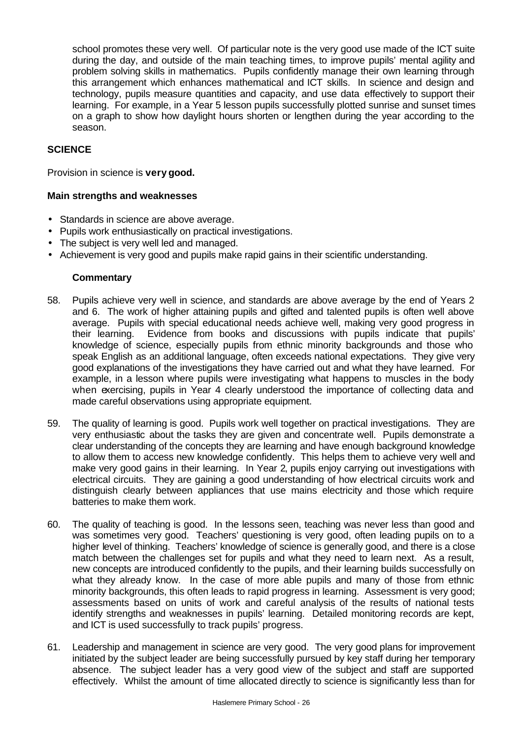school promotes these very well. Of particular note is the very good use made of the ICT suite during the day, and outside of the main teaching times, to improve pupils' mental agility and problem solving skills in mathematics. Pupils confidently manage their own learning through this arrangement which enhances mathematical and ICT skills. In science and design and technology, pupils measure quantities and capacity, and use data effectively to support their learning. For example, in a Year 5 lesson pupils successfully plotted sunrise and sunset times on a graph to show how daylight hours shorten or lengthen during the year according to the season.

## **SCIENCE**

Provision in science is **very good.**

#### **Main strengths and weaknesses**

- Standards in science are above average.
- Pupils work enthusiastically on practical investigations.
- The subject is very well led and managed.
- Achievement is very good and pupils make rapid gains in their scientific understanding.

- 58. Pupils achieve very well in science, and standards are above average by the end of Years 2 and 6. The work of higher attaining pupils and gifted and talented pupils is often well above average. Pupils with special educational needs achieve well, making very good progress in their learning. Evidence from books and discussions with pupils indicate that pupils' knowledge of science, especially pupils from ethnic minority backgrounds and those who speak English as an additional language, often exceeds national expectations. They give very good explanations of the investigations they have carried out and what they have learned. For example, in a lesson where pupils were investigating what happens to muscles in the body when exercising, pupils in Year 4 clearly understood the importance of collecting data and made careful observations using appropriate equipment.
- 59. The quality of learning is good. Pupils work well together on practical investigations. They are very enthusiastic about the tasks they are given and concentrate well. Pupils demonstrate a clear understanding of the concepts they are learning and have enough background knowledge to allow them to access new knowledge confidently. This helps them to achieve very well and make very good gains in their learning. In Year 2, pupils enjoy carrying out investigations with electrical circuits. They are gaining a good understanding of how electrical circuits work and distinguish clearly between appliances that use mains electricity and those which require batteries to make them work.
- 60. The quality of teaching is good. In the lessons seen, teaching was never less than good and was sometimes very good. Teachers' questioning is very good, often leading pupils on to a higher level of thinking. Teachers' knowledge of science is generally good, and there is a close match between the challenges set for pupils and what they need to learn next. As a result, new concepts are introduced confidently to the pupils, and their learning builds successfully on what they already know. In the case of more able pupils and many of those from ethnic minority backgrounds, this often leads to rapid progress in learning. Assessment is very good; assessments based on units of work and careful analysis of the results of national tests identify strengths and weaknesses in pupils' learning. Detailed monitoring records are kept, and ICT is used successfully to track pupils' progress.
- 61. Leadership and management in science are very good. The very good plans for improvement initiated by the subject leader are being successfully pursued by key staff during her temporary absence. The subject leader has a very good view of the subject and staff are supported effectively. Whilst the amount of time allocated directly to science is significantly less than for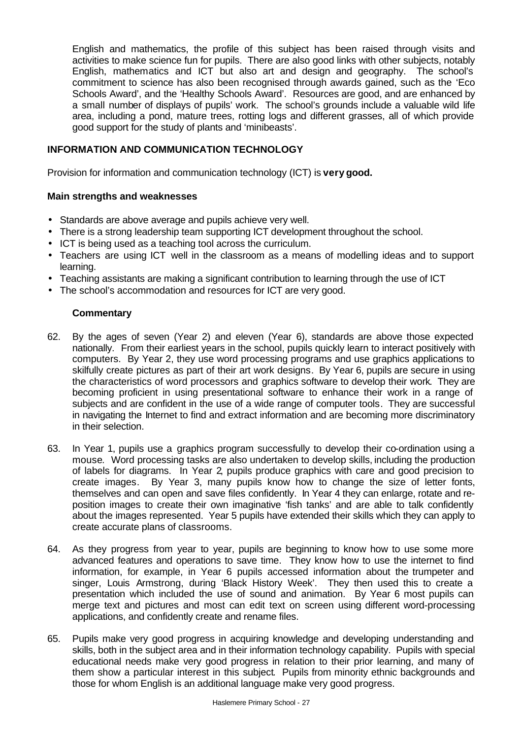English and mathematics, the profile of this subject has been raised through visits and activities to make science fun for pupils. There are also good links with other subjects, notably English, mathematics and ICT but also art and design and geography. The school's commitment to science has also been recognised through awards gained, such as the 'Eco Schools Award', and the 'Healthy Schools Award'. Resources are good, and are enhanced by a small number of displays of pupils' work. The school's grounds include a valuable wild life area, including a pond, mature trees, rotting logs and different grasses, all of which provide good support for the study of plants and 'minibeasts'.

## **INFORMATION AND COMMUNICATION TECHNOLOGY**

Provision for information and communication technology (ICT) is **very good.**

### **Main strengths and weaknesses**

- Standards are above average and pupils achieve very well.
- There is a strong leadership team supporting ICT development throughout the school.
- ICT is being used as a teaching tool across the curriculum.
- Teachers are using ICT well in the classroom as a means of modelling ideas and to support learning.
- Teaching assistants are making a significant contribution to learning through the use of ICT
- The school's accommodation and resources for ICT are very good.

- 62. By the ages of seven (Year 2) and eleven (Year 6), standards are above those expected nationally. From their earliest years in the school, pupils quickly learn to interact positively with computers. By Year 2, they use word processing programs and use graphics applications to skilfully create pictures as part of their art work designs. By Year 6, pupils are secure in using the characteristics of word processors and graphics software to develop their work. They are becoming proficient in using presentational software to enhance their work in a range of subjects and are confident in the use of a wide range of computer tools. They are successful in navigating the Internet to find and extract information and are becoming more discriminatory in their selection.
- 63. In Year 1, pupils use a graphics program successfully to develop their co-ordination using a mouse. Word processing tasks are also undertaken to develop skills, including the production of labels for diagrams. In Year 2, pupils produce graphics with care and good precision to create images. By Year 3, many pupils know how to change the size of letter fonts, themselves and can open and save files confidently. In Year 4 they can enlarge, rotate and reposition images to create their own imaginative 'fish tanks' and are able to talk confidently about the images represented. Year 5 pupils have extended their skills which they can apply to create accurate plans of classrooms.
- 64. As they progress from year to year, pupils are beginning to know how to use some more advanced features and operations to save time. They know how to use the internet to find information, for example, in Year 6 pupils accessed information about the trumpeter and singer, Louis Armstrong, during 'Black History Week'. They then used this to create a presentation which included the use of sound and animation. By Year 6 most pupils can merge text and pictures and most can edit text on screen using different word-processing applications, and confidently create and rename files.
- 65. Pupils make very good progress in acquiring knowledge and developing understanding and skills, both in the subject area and in their information technology capability. Pupils with special educational needs make very good progress in relation to their prior learning, and many of them show a particular interest in this subject. Pupils from minority ethnic backgrounds and those for whom English is an additional language make very good progress.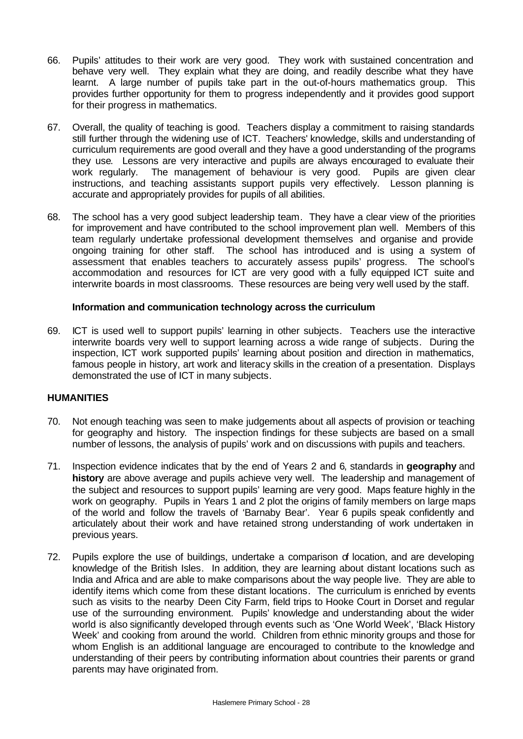- 66. Pupils' attitudes to their work are very good. They work with sustained concentration and behave very well. They explain what they are doing, and readily describe what they have learnt. A large number of pupils take part in the out-of-hours mathematics group. This provides further opportunity for them to progress independently and it provides good support for their progress in mathematics.
- 67. Overall, the quality of teaching is good. Teachers display a commitment to raising standards still further through the widening use of ICT. Teachers' knowledge, skills and understanding of curriculum requirements are good overall and they have a good understanding of the programs they use. Lessons are very interactive and pupils are always encouraged to evaluate their work regularly. The management of behaviour is very good. Pupils are given clear instructions, and teaching assistants support pupils very effectively. Lesson planning is accurate and appropriately provides for pupils of all abilities.
- 68. The school has a very good subject leadership team. They have a clear view of the priorities for improvement and have contributed to the school improvement plan well. Members of this team regularly undertake professional development themselves and organise and provide ongoing training for other staff. The school has introduced and is using a system of assessment that enables teachers to accurately assess pupils' progress. The school's accommodation and resources for ICT are very good with a fully equipped ICT suite and interwrite boards in most classrooms. These resources are being very well used by the staff.

### **Information and communication technology across the curriculum**

69. ICT is used well to support pupils' learning in other subjects. Teachers use the interactive interwrite boards very well to support learning across a wide range of subjects. During the inspection, ICT work supported pupils' learning about position and direction in mathematics, famous people in history, art work and literacy skills in the creation of a presentation. Displays demonstrated the use of ICT in many subjects.

#### **HUMANITIES**

- 70. Not enough teaching was seen to make judgements about all aspects of provision or teaching for geography and history. The inspection findings for these subjects are based on a small number of lessons, the analysis of pupils' work and on discussions with pupils and teachers.
- 71. Inspection evidence indicates that by the end of Years 2 and 6, standards in **geography** and **history** are above average and pupils achieve very well. The leadership and management of the subject and resources to support pupils' learning are very good. Maps feature highly in the work on geography. Pupils in Years 1 and 2 plot the origins of family members on large maps of the world and follow the travels of 'Barnaby Bear'. Year 6 pupils speak confidently and articulately about their work and have retained strong understanding of work undertaken in previous years.
- 72. Pupils explore the use of buildings, undertake a comparison of location, and are developing knowledge of the British Isles. In addition, they are learning about distant locations such as India and Africa and are able to make comparisons about the way people live. They are able to identify items which come from these distant locations. The curriculum is enriched by events such as visits to the nearby Deen City Farm, field trips to Hooke Court in Dorset and regular use of the surrounding environment. Pupils' knowledge and understanding about the wider world is also significantly developed through events such as 'One World Week', 'Black History Week' and cooking from around the world. Children from ethnic minority groups and those for whom English is an additional language are encouraged to contribute to the knowledge and understanding of their peers by contributing information about countries their parents or grand parents may have originated from.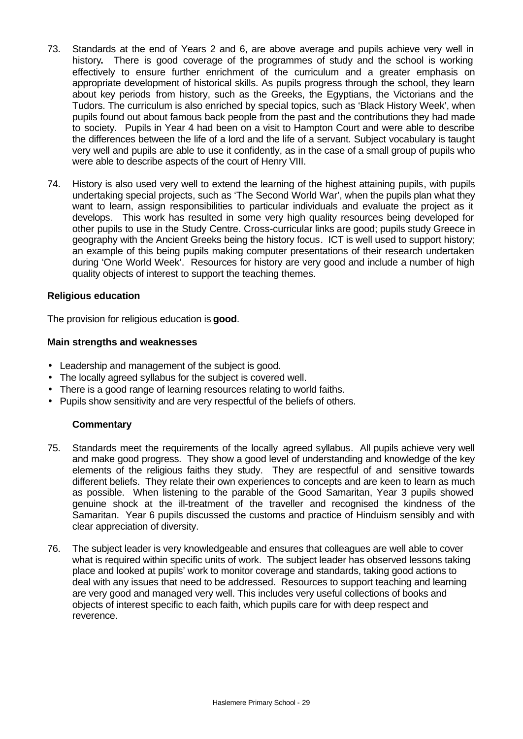- 73. Standards at the end of Years 2 and 6, are above average and pupils achieve very well in history**.** There is good coverage of the programmes of study and the school is working effectively to ensure further enrichment of the curriculum and a greater emphasis on appropriate development of historical skills. As pupils progress through the school, they learn about key periods from history, such as the Greeks, the Egyptians, the Victorians and the Tudors. The curriculum is also enriched by special topics, such as 'Black History Week', when pupils found out about famous back people from the past and the contributions they had made to society. Pupils in Year 4 had been on a visit to Hampton Court and were able to describe the differences between the life of a lord and the life of a servant. Subject vocabulary is taught very well and pupils are able to use it confidently, as in the case of a small group of pupils who were able to describe aspects of the court of Henry VIII.
- 74. History is also used very well to extend the learning of the highest attaining pupils, with pupils undertaking special projects, such as 'The Second World War', when the pupils plan what they want to learn, assign responsibilities to particular individuals and evaluate the project as it develops. This work has resulted in some very high quality resources being developed for other pupils to use in the Study Centre. Cross-curricular links are good; pupils study Greece in geography with the Ancient Greeks being the history focus. ICT is well used to support history; an example of this being pupils making computer presentations of their research undertaken during 'One World Week'. Resources for history are very good and include a number of high quality objects of interest to support the teaching themes.

### **Religious education**

The provision for religious education is **good**.

#### **Main strengths and weaknesses**

- Leadership and management of the subject is good.
- The locally agreed syllabus for the subject is covered well.
- There is a good range of learning resources relating to world faiths.
- Pupils show sensitivity and are very respectful of the beliefs of others.

- 75. Standards meet the requirements of the locally agreed syllabus. All pupils achieve very well and make good progress. They show a good level of understanding and knowledge of the key elements of the religious faiths they study. They are respectful of and sensitive towards different beliefs. They relate their own experiences to concepts and are keen to learn as much as possible. When listening to the parable of the Good Samaritan, Year 3 pupils showed genuine shock at the ill-treatment of the traveller and recognised the kindness of the Samaritan. Year 6 pupils discussed the customs and practice of Hinduism sensibly and with clear appreciation of diversity.
- 76. The subject leader is very knowledgeable and ensures that colleagues are well able to cover what is required within specific units of work. The subject leader has observed lessons taking place and looked at pupils' work to monitor coverage and standards, taking good actions to deal with any issues that need to be addressed. Resources to support teaching and learning are very good and managed very well. This includes very useful collections of books and objects of interest specific to each faith, which pupils care for with deep respect and reverence.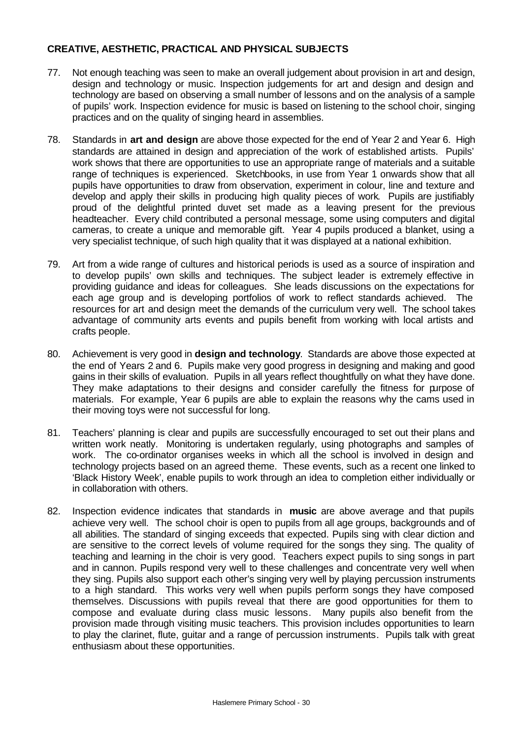## **CREATIVE, AESTHETIC, PRACTICAL AND PHYSICAL SUBJECTS**

- 77. Not enough teaching was seen to make an overall judgement about provision in art and design, design and technology or music. Inspection judgements for art and design and design and technology are based on observing a small number of lessons and on the analysis of a sample of pupils' work. Inspection evidence for music is based on listening to the school choir, singing practices and on the quality of singing heard in assemblies.
- 78. Standards in **art and design** are above those expected for the end of Year 2 and Year 6. High standards are attained in design and appreciation of the work of established artists. Pupils' work shows that there are opportunities to use an appropriate range of materials and a suitable range of techniques is experienced. Sketchbooks, in use from Year 1 onwards show that all pupils have opportunities to draw from observation, experiment in colour, line and texture and develop and apply their skills in producing high quality pieces of work. Pupils are justifiably proud of the delightful printed duvet set made as a leaving present for the previous headteacher. Every child contributed a personal message, some using computers and digital cameras, to create a unique and memorable gift. Year 4 pupils produced a blanket, using a very specialist technique, of such high quality that it was displayed at a national exhibition.
- 79. Art from a wide range of cultures and historical periods is used as a source of inspiration and to develop pupils' own skills and techniques. The subject leader is extremely effective in providing guidance and ideas for colleagues. She leads discussions on the expectations for each age group and is developing portfolios of work to reflect standards achieved. The resources for art and design meet the demands of the curriculum very well. The school takes advantage of community arts events and pupils benefit from working with local artists and crafts people.
- 80. Achievement is very good in **design and technology**. Standards are above those expected at the end of Years 2 and 6. Pupils make very good progress in designing and making and good gains in their skills of evaluation. Pupils in all years reflect thoughtfully on what they have done. They make adaptations to their designs and consider carefully the fitness for purpose of materials. For example, Year 6 pupils are able to explain the reasons why the cams used in their moving toys were not successful for long.
- 81. Teachers' planning is clear and pupils are successfully encouraged to set out their plans and written work neatly. Monitoring is undertaken regularly, using photographs and samples of work. The co-ordinator organises weeks in which all the school is involved in design and technology projects based on an agreed theme. These events, such as a recent one linked to 'Black History Week', enable pupils to work through an idea to completion either individually or in collaboration with others.
- 82. Inspection evidence indicates that standards in **music** are above average and that pupils achieve very well. The school choir is open to pupils from all age groups, backgrounds and of all abilities. The standard of singing exceeds that expected. Pupils sing with clear diction and are sensitive to the correct levels of volume required for the songs they sing. The quality of teaching and learning in the choir is very good. Teachers expect pupils to sing songs in part and in cannon. Pupils respond very well to these challenges and concentrate very well when they sing. Pupils also support each other's singing very well by playing percussion instruments to a high standard. This works very well when pupils perform songs they have composed themselves. Discussions with pupils reveal that there are good opportunities for them to compose and evaluate during class music lessons. Many pupils also benefit from the provision made through visiting music teachers. This provision includes opportunities to learn to play the clarinet, flute, guitar and a range of percussion instruments. Pupils talk with great enthusiasm about these opportunities.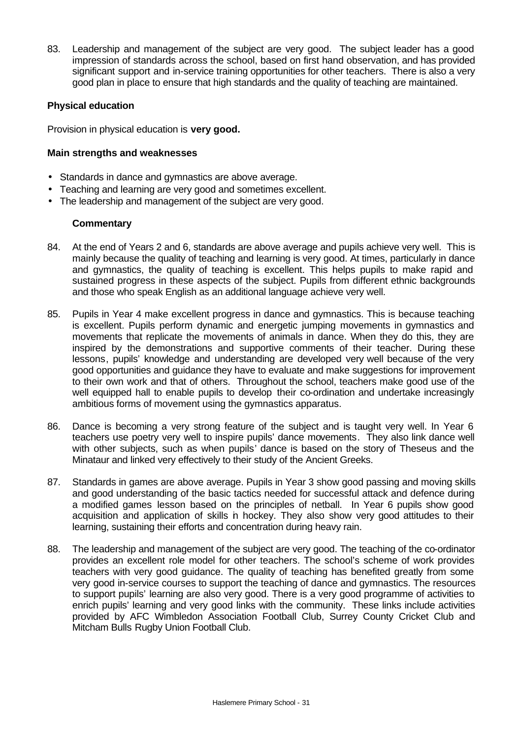83. Leadership and management of the subject are very good. The subject leader has a good impression of standards across the school, based on first hand observation, and has provided significant support and in-service training opportunities for other teachers. There is also a very good plan in place to ensure that high standards and the quality of teaching are maintained.

### **Physical education**

Provision in physical education is **very good.**

#### **Main strengths and weaknesses**

- Standards in dance and gymnastics are above average.
- Teaching and learning are very good and sometimes excellent.
- The leadership and management of the subject are very good.

- 84. At the end of Years 2 and 6, standards are above average and pupils achieve very well. This is mainly because the quality of teaching and learning is very good. At times, particularly in dance and gymnastics, the quality of teaching is excellent. This helps pupils to make rapid and sustained progress in these aspects of the subject. Pupils from different ethnic backgrounds and those who speak English as an additional language achieve very well.
- 85. Pupils in Year 4 make excellent progress in dance and gymnastics. This is because teaching is excellent. Pupils perform dynamic and energetic jumping movements in gymnastics and movements that replicate the movements of animals in dance. When they do this, they are inspired by the demonstrations and supportive comments of their teacher. During these lessons, pupils' knowledge and understanding are developed very well because of the very good opportunities and guidance they have to evaluate and make suggestions for improvement to their own work and that of others. Throughout the school, teachers make good use of the well equipped hall to enable pupils to develop their co-ordination and undertake increasingly ambitious forms of movement using the gymnastics apparatus.
- 86. Dance is becoming a very strong feature of the subject and is taught very well. In Year 6 teachers use poetry very well to inspire pupils' dance movements. They also link dance well with other subjects, such as when pupils' dance is based on the story of Theseus and the Minataur and linked very effectively to their study of the Ancient Greeks.
- 87. Standards in games are above average. Pupils in Year 3 show good passing and moving skills and good understanding of the basic tactics needed for successful attack and defence during a modified games lesson based on the principles of netball. In Year 6 pupils show good acquisition and application of skills in hockey. They also show very good attitudes to their learning, sustaining their efforts and concentration during heavy rain.
- 88. The leadership and management of the subject are very good. The teaching of the co-ordinator provides an excellent role model for other teachers. The school's scheme of work provides teachers with very good guidance. The quality of teaching has benefited greatly from some very good in-service courses to support the teaching of dance and gymnastics. The resources to support pupils' learning are also very good. There is a very good programme of activities to enrich pupils' learning and very good links with the community. These links include activities provided by AFC Wimbledon Association Football Club, Surrey County Cricket Club and Mitcham Bulls Rugby Union Football Club.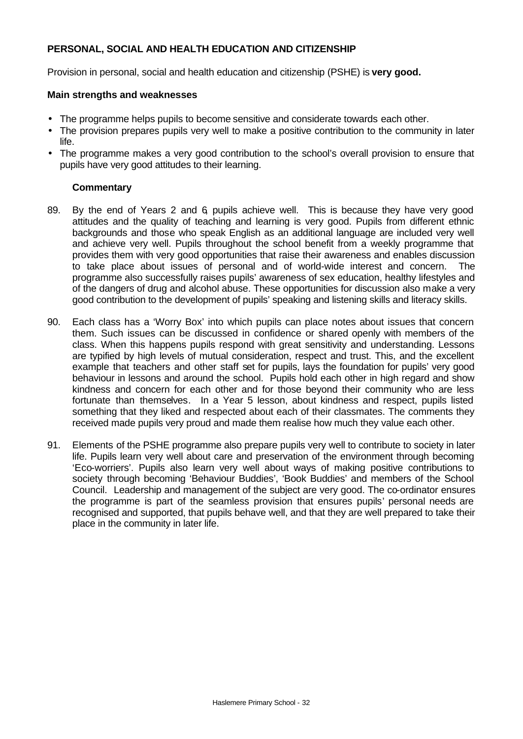## **PERSONAL, SOCIAL AND HEALTH EDUCATION AND CITIZENSHIP**

Provision in personal, social and health education and citizenship (PSHE) is **very good.**

## **Main strengths and weaknesses**

- The programme helps pupils to become sensitive and considerate towards each other.
- The provision prepares pupils very well to make a positive contribution to the community in later life.
- The programme makes a very good contribution to the school's overall provision to ensure that pupils have very good attitudes to their learning.

- 89. By the end of Years 2 and 6, pupils achieve well. This is because they have very good attitudes and the quality of teaching and learning is very good. Pupils from different ethnic backgrounds and those who speak English as an additional language are included very well and achieve very well. Pupils throughout the school benefit from a weekly programme that provides them with very good opportunities that raise their awareness and enables discussion to take place about issues of personal and of world-wide interest and concern. The programme also successfully raises pupils' awareness of sex education, healthy lifestyles and of the dangers of drug and alcohol abuse. These opportunities for discussion also make a very good contribution to the development of pupils' speaking and listening skills and literacy skills.
- 90. Each class has a 'Worry Box' into which pupils can place notes about issues that concern them. Such issues can be discussed in confidence or shared openly with members of the class. When this happens pupils respond with great sensitivity and understanding. Lessons are typified by high levels of mutual consideration, respect and trust. This, and the excellent example that teachers and other staff set for pupils, lays the foundation for pupils' very good behaviour in lessons and around the school. Pupils hold each other in high regard and show kindness and concern for each other and for those beyond their community who are less fortunate than themselves. In a Year 5 lesson, about kindness and respect, pupils listed something that they liked and respected about each of their classmates. The comments they received made pupils very proud and made them realise how much they value each other.
- 91. Elements of the PSHE programme also prepare pupils very well to contribute to society in later life. Pupils learn very well about care and preservation of the environment through becoming 'Eco-worriers'. Pupils also learn very well about ways of making positive contributions to society through becoming 'Behaviour Buddies', 'Book Buddies' and members of the School Council. Leadership and management of the subject are very good. The co-ordinator ensures the programme is part of the seamless provision that ensures pupils' personal needs are recognised and supported, that pupils behave well, and that they are well prepared to take their place in the community in later life.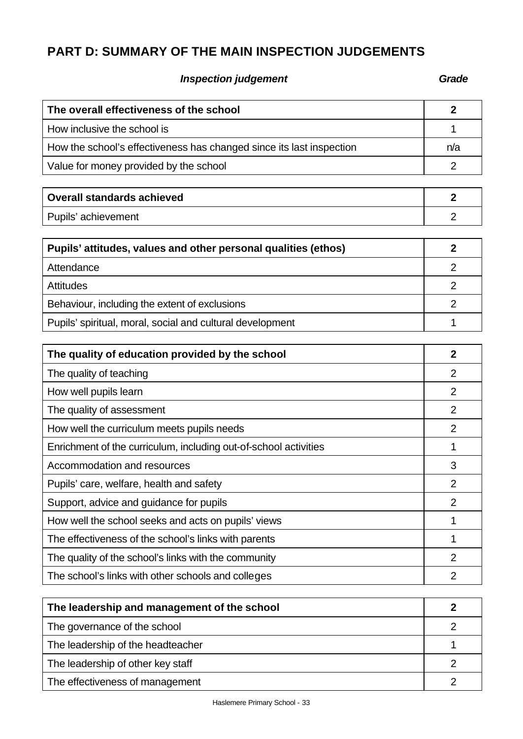# **PART D: SUMMARY OF THE MAIN INSPECTION JUDGEMENTS**

# **Inspection judgement Grade**

| The overall effectiveness of the school                              |                                    |  |  |  |  |
|----------------------------------------------------------------------|------------------------------------|--|--|--|--|
| How inclusive the school is                                          | 1                                  |  |  |  |  |
| How the school's effectiveness has changed since its last inspection | n/a                                |  |  |  |  |
| Value for money provided by the school                               |                                    |  |  |  |  |
|                                                                      |                                    |  |  |  |  |
| <b>Overall standards achieved</b>                                    | $\overline{2}$                     |  |  |  |  |
| Pupils' achievement                                                  | $\overline{2}$                     |  |  |  |  |
| Pupils' attitudes, values and other personal qualities (ethos)       | $\overline{2}$                     |  |  |  |  |
| Attendance                                                           | $\overline{2}$                     |  |  |  |  |
| <b>Attitudes</b>                                                     | $\overline{2}$                     |  |  |  |  |
| Behaviour, including the extent of exclusions                        | $\overline{2}$                     |  |  |  |  |
| Pupils' spiritual, moral, social and cultural development            | 1                                  |  |  |  |  |
|                                                                      |                                    |  |  |  |  |
| The quality of education provided by the school                      | $\overline{2}$                     |  |  |  |  |
| The quality of teaching                                              | $\overline{2}$                     |  |  |  |  |
| How well pupils learn                                                | $\overline{2}$                     |  |  |  |  |
| The quality of assessment                                            | 2                                  |  |  |  |  |
| How well the curriculum meets pupils needs                           | $\overline{2}$                     |  |  |  |  |
| Enrichment of the curriculum, including out-of-school activities     | 1                                  |  |  |  |  |
| Accommodation and resources                                          | 3                                  |  |  |  |  |
| Pupils' care, welfare, health and safety                             | $\overline{2}$                     |  |  |  |  |
| Support, advice and guidance for pupils                              | $\overline{2}$                     |  |  |  |  |
| How well the school seeks and acts on pupils' views                  | 1                                  |  |  |  |  |
| The effectiveness of the school's links with parents                 | 1                                  |  |  |  |  |
| The quality of the school's links with the community                 | $\overline{2}$                     |  |  |  |  |
| The school's links with other schools and colleges                   | $\overline{2}$                     |  |  |  |  |
|                                                                      |                                    |  |  |  |  |
| The leadership and management of the school                          | $\boldsymbol{2}$<br>$\overline{2}$ |  |  |  |  |
| The governance of the school                                         |                                    |  |  |  |  |
| The leadership of the headteacher                                    |                                    |  |  |  |  |
| The leadership of other key staff                                    |                                    |  |  |  |  |
| The effectiveness of management                                      |                                    |  |  |  |  |